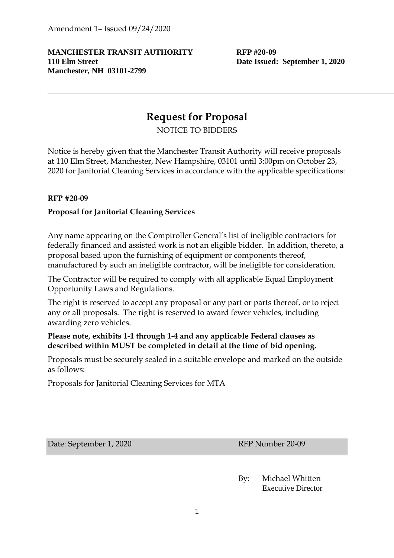### **MANCHESTER TRANSIT AUTHORITY RFP #20-09 110 Elm Street Date Issued: September 1, 2020 Manchester, NH 03101-2799**

# **Request for Proposal**

NOTICE TO BIDDERS

Notice is hereby given that the Manchester Transit Authority will receive proposals at 110 Elm Street, Manchester, New Hampshire, 03101 until 3:00pm on October 23, 2020 for Janitorial Cleaning Services in accordance with the applicable specifications:

### **RFP #20-09**

### **Proposal for Janitorial Cleaning Services**

Any name appearing on the Comptroller General's list of ineligible contractors for federally financed and assisted work is not an eligible bidder. In addition, thereto, a proposal based upon the furnishing of equipment or components thereof, manufactured by such an ineligible contractor, will be ineligible for consideration.

The Contractor will be required to comply with all applicable Equal Employment Opportunity Laws and Regulations.

The right is reserved to accept any proposal or any part or parts thereof, or to reject any or all proposals. The right is reserved to award fewer vehicles, including awarding zero vehicles.

### **Please note, exhibits 1-1 through 1-4 and any applicable Federal clauses as described within MUST be completed in detail at the time of bid opening.**

Proposals must be securely sealed in a suitable envelope and marked on the outside as follows:

Proposals for Janitorial Cleaning Services for MTA

Date: September 1, 2020 RFP Number 20-09

By: Michael Whitten Executive Director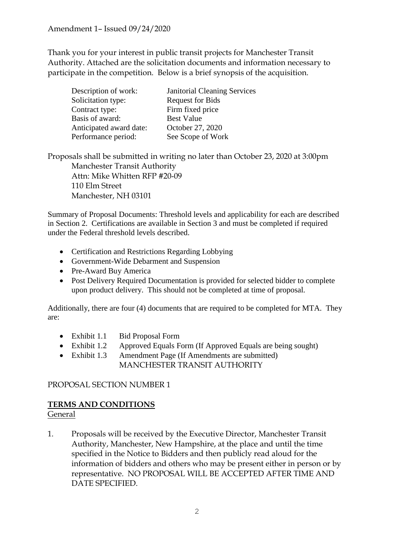Thank you for your interest in public transit projects for Manchester Transit Authority. Attached are the solicitation documents and information necessary to participate in the competition. Below is a brief synopsis of the acquisition.

| Description of work:    | <b>Janitorial Cleaning Services</b> |
|-------------------------|-------------------------------------|
| Solicitation type:      | <b>Request for Bids</b>             |
| Contract type:          | Firm fixed price                    |
| Basis of award:         | <b>Best Value</b>                   |
| Anticipated award date: | October 27, 2020                    |
| Performance period:     | See Scope of Work                   |

Proposals shall be submitted in writing no later than October 23, 2020 at 3:00pm Manchester Transit Authority Attn: Mike Whitten RFP #20-09 110 Elm Street Manchester, NH 03101

Summary of Proposal Documents: Threshold levels and applicability for each are described in Section 2. Certifications are available in Section 3 and must be completed if required under the Federal threshold levels described.

- Certification and Restrictions Regarding Lobbying
- Government-Wide Debarment and Suspension
- Pre-Award Buy America
- Post Delivery Required Documentation is provided for selected bidder to complete upon product delivery. This should not be completed at time of proposal.

Additionally, there are four (4) documents that are required to be completed for MTA. They are:

- Exhibit 1.1 Bid Proposal Form
- Exhibit 1.2 Approved Equals Form (If Approved Equals are being sought)
- Exhibit 1.3 Amendment Page (If Amendments are submitted) MANCHESTER TRANSIT AUTHORITY

### PROPOSAL SECTION NUMBER 1

### **TERMS AND CONDITIONS**

### General

1. Proposals will be received by the Executive Director, Manchester Transit Authority, Manchester, New Hampshire, at the place and until the time specified in the Notice to Bidders and then publicly read aloud for the information of bidders and others who may be present either in person or by representative. NO PROPOSAL WILL BE ACCEPTED AFTER TIME AND DATE SPECIFIED.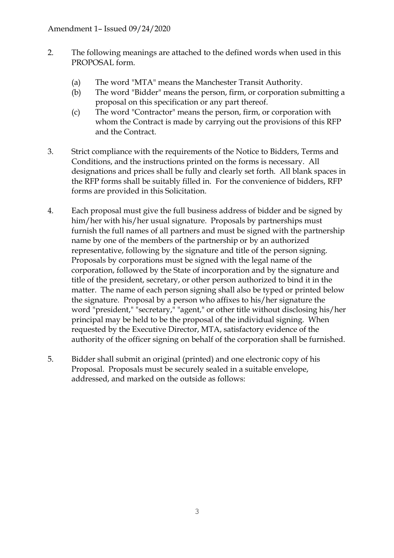- 2. The following meanings are attached to the defined words when used in this PROPOSAL form.
	- (a) The word "MTA" means the Manchester Transit Authority.
	- (b) The word "Bidder" means the person, firm, or corporation submitting a proposal on this specification or any part thereof.
	- (c) The word "Contractor" means the person, firm, or corporation with whom the Contract is made by carrying out the provisions of this RFP and the Contract.
- 3. Strict compliance with the requirements of the Notice to Bidders, Terms and Conditions, and the instructions printed on the forms is necessary. All designations and prices shall be fully and clearly set forth. All blank spaces in the RFP forms shall be suitably filled in. For the convenience of bidders, RFP forms are provided in this Solicitation.
- 4. Each proposal must give the full business address of bidder and be signed by him/her with his/her usual signature. Proposals by partnerships must furnish the full names of all partners and must be signed with the partnership name by one of the members of the partnership or by an authorized representative, following by the signature and title of the person signing. Proposals by corporations must be signed with the legal name of the corporation, followed by the State of incorporation and by the signature and title of the president, secretary, or other person authorized to bind it in the matter. The name of each person signing shall also be typed or printed below the signature. Proposal by a person who affixes to his/her signature the word "president," "secretary," "agent," or other title without disclosing his/her principal may be held to be the proposal of the individual signing. When requested by the Executive Director, MTA, satisfactory evidence of the authority of the officer signing on behalf of the corporation shall be furnished.
- 5. Bidder shall submit an original (printed) and one electronic copy of his Proposal. Proposals must be securely sealed in a suitable envelope, addressed, and marked on the outside as follows: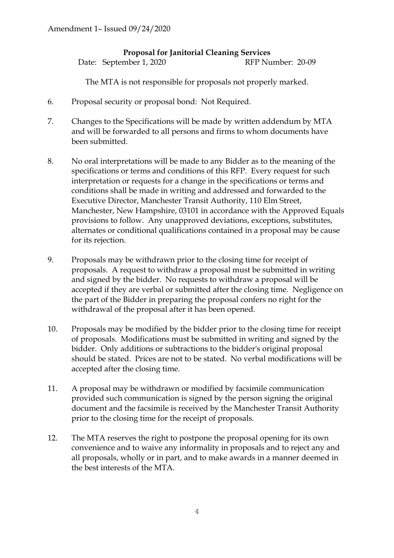### **Proposal for Janitorial Cleaning Services**

Date: September 1, 2020 RFP Number: 20-09

The MTA is not responsible for proposals not properly marked.

- 6. Proposal security or proposal bond: Not Required.
- 7. Changes to the Specifications will be made by written addendum by MTA and will be forwarded to all persons and firms to whom documents have been submitted.
- 8. No oral interpretations will be made to any Bidder as to the meaning of the specifications or terms and conditions of this RFP. Every request for such interpretation or requests for a change in the specifications or terms and conditions shall be made in writing and addressed and forwarded to the Executive Director, Manchester Transit Authority, 110 Elm Street, Manchester, New Hampshire, 03101 in accordance with the Approved Equals provisions to follow. Any unapproved deviations, exceptions, substitutes, alternates or conditional qualifications contained in a proposal may be cause for its rejection.
- 9. Proposals may be withdrawn prior to the closing time for receipt of proposals. A request to withdraw a proposal must be submitted in writing and signed by the bidder. No requests to withdraw a proposal will be accepted if they are verbal or submitted after the closing time. Negligence on the part of the Bidder in preparing the proposal confers no right for the withdrawal of the proposal after it has been opened.
- 10. Proposals may be modified by the bidder prior to the closing time for receipt of proposals. Modifications must be submitted in writing and signed by the bidder. Only additions or subtractions to the bidder's original proposal should be stated. Prices are not to be stated. No verbal modifications will be accepted after the closing time.
- 11. A proposal may be withdrawn or modified by facsimile communication provided such communication is signed by the person signing the original document and the facsimile is received by the Manchester Transit Authority prior to the closing time for the receipt of proposals.
- 12. The MTA reserves the right to postpone the proposal opening for its own convenience and to waive any informality in proposals and to reject any and all proposals, wholly or in part, and to make awards in a manner deemed in the best interests of the MTA.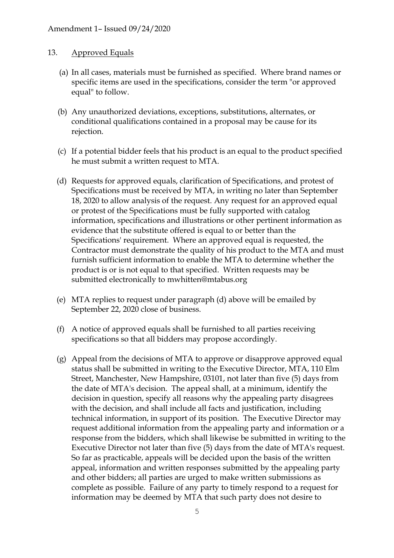### 13. Approved Equals

- (a) In all cases, materials must be furnished as specified. Where brand names or specific items are used in the specifications, consider the term "or approved equal" to follow.
- (b) Any unauthorized deviations, exceptions, substitutions, alternates, or conditional qualifications contained in a proposal may be cause for its rejection.
- (c) If a potential bidder feels that his product is an equal to the product specified he must submit a written request to MTA.
- (d) Requests for approved equals, clarification of Specifications, and protest of Specifications must be received by MTA, in writing no later than September 18, 2020 to allow analysis of the request. Any request for an approved equal or protest of the Specifications must be fully supported with catalog information, specifications and illustrations or other pertinent information as evidence that the substitute offered is equal to or better than the Specifications' requirement. Where an approved equal is requested, the Contractor must demonstrate the quality of his product to the MTA and must furnish sufficient information to enable the MTA to determine whether the product is or is not equal to that specified. Written requests may be submitted electronically to mwhitten@mtabus.org
- (e) MTA replies to request under paragraph (d) above will be emailed by September 22, 2020 close of business.
- (f) A notice of approved equals shall be furnished to all parties receiving specifications so that all bidders may propose accordingly.
- (g) Appeal from the decisions of MTA to approve or disapprove approved equal status shall be submitted in writing to the Executive Director, MTA, 110 Elm Street, Manchester, New Hampshire, 03101, not later than five (5) days from the date of MTA's decision. The appeal shall, at a minimum, identify the decision in question, specify all reasons why the appealing party disagrees with the decision, and shall include all facts and justification, including technical information, in support of its position. The Executive Director may request additional information from the appealing party and information or a response from the bidders, which shall likewise be submitted in writing to the Executive Director not later than five (5) days from the date of MTA's request. So far as practicable, appeals will be decided upon the basis of the written appeal, information and written responses submitted by the appealing party and other bidders; all parties are urged to make written submissions as complete as possible. Failure of any party to timely respond to a request for information may be deemed by MTA that such party does not desire to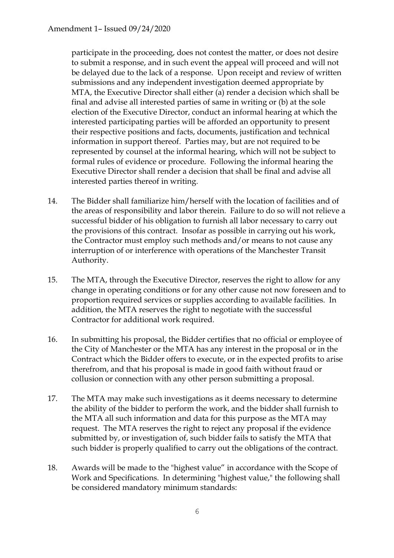participate in the proceeding, does not contest the matter, or does not desire to submit a response, and in such event the appeal will proceed and will not be delayed due to the lack of a response. Upon receipt and review of written submissions and any independent investigation deemed appropriate by MTA, the Executive Director shall either (a) render a decision which shall be final and advise all interested parties of same in writing or (b) at the sole election of the Executive Director, conduct an informal hearing at which the interested participating parties will be afforded an opportunity to present their respective positions and facts, documents, justification and technical information in support thereof. Parties may, but are not required to be represented by counsel at the informal hearing, which will not be subject to formal rules of evidence or procedure. Following the informal hearing the Executive Director shall render a decision that shall be final and advise all interested parties thereof in writing.

- 14. The Bidder shall familiarize him/herself with the location of facilities and of the areas of responsibility and labor therein. Failure to do so will not relieve a successful bidder of his obligation to furnish all labor necessary to carry out the provisions of this contract. Insofar as possible in carrying out his work, the Contractor must employ such methods and/or means to not cause any interruption of or interference with operations of the Manchester Transit Authority.
- 15. The MTA, through the Executive Director, reserves the right to allow for any change in operating conditions or for any other cause not now foreseen and to proportion required services or supplies according to available facilities. In addition, the MTA reserves the right to negotiate with the successful Contractor for additional work required.
- 16. In submitting his proposal, the Bidder certifies that no official or employee of the City of Manchester or the MTA has any interest in the proposal or in the Contract which the Bidder offers to execute, or in the expected profits to arise therefrom, and that his proposal is made in good faith without fraud or collusion or connection with any other person submitting a proposal.
- 17. The MTA may make such investigations as it deems necessary to determine the ability of the bidder to perform the work, and the bidder shall furnish to the MTA all such information and data for this purpose as the MTA may request. The MTA reserves the right to reject any proposal if the evidence submitted by, or investigation of, such bidder fails to satisfy the MTA that such bidder is properly qualified to carry out the obligations of the contract.
- 18. Awards will be made to the "highest value" in accordance with the Scope of Work and Specifications. In determining "highest value," the following shall be considered mandatory minimum standards: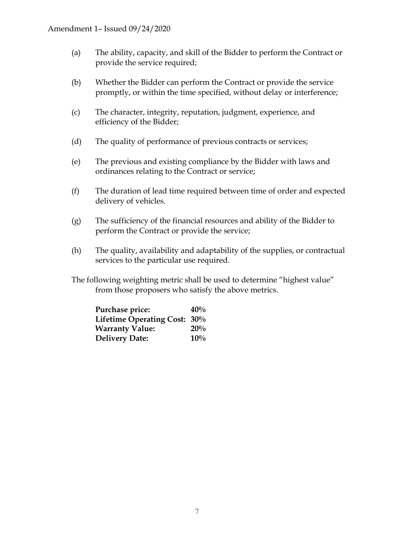- (a) The ability, capacity, and skill of the Bidder to perform the Contract or provide the service required;
- (b) Whether the Bidder can perform the Contract or provide the service promptly, or within the time specified, without delay or interference;
- (c) The character, integrity, reputation, judgment, experience, and efficiency of the Bidder;
- (d) The quality of performance of previous contracts or services;
- (e) The previous and existing compliance by the Bidder with laws and ordinances relating to the Contract or service;
- (f) The duration of lead time required between time of order and expected delivery of vehicles.
- (g) The sufficiency of the financial resources and ability of the Bidder to perform the Contract or provide the service;
- (h) The quality, availability and adaptability of the supplies, or contractual services to the particular use required.
- The following weighting metric shall be used to determine "highest value" from those proposers who satisfy the above metrics.

| Purchase price:              | 40% |
|------------------------------|-----|
| Lifetime Operating Cost: 30% |     |
| <b>Warranty Value:</b>       | 20% |
| <b>Delivery Date:</b>        | 10% |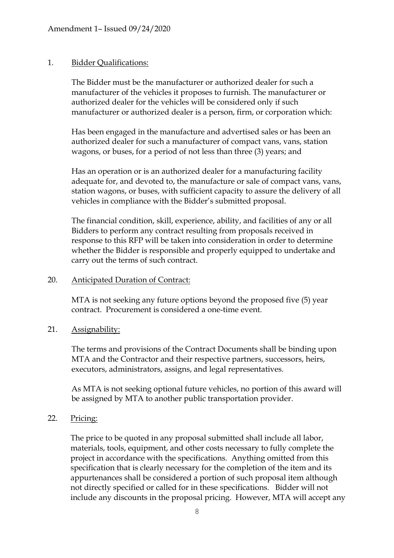### 1. Bidder Qualifications:

The Bidder must be the manufacturer or authorized dealer for such a manufacturer of the vehicles it proposes to furnish. The manufacturer or authorized dealer for the vehicles will be considered only if such manufacturer or authorized dealer is a person, firm, or corporation which:

Has been engaged in the manufacture and advertised sales or has been an authorized dealer for such a manufacturer of compact vans, vans, station wagons, or buses, for a period of not less than three (3) years; and

Has an operation or is an authorized dealer for a manufacturing facility adequate for, and devoted to, the manufacture or sale of compact vans, vans, station wagons, or buses, with sufficient capacity to assure the delivery of all vehicles in compliance with the Bidder's submitted proposal.

The financial condition, skill, experience, ability, and facilities of any or all Bidders to perform any contract resulting from proposals received in response to this RFP will be taken into consideration in order to determine whether the Bidder is responsible and properly equipped to undertake and carry out the terms of such contract.

### 20. Anticipated Duration of Contract:

MTA is not seeking any future options beyond the proposed five (5) year contract. Procurement is considered a one-time event.

### 21. Assignability:

The terms and provisions of the Contract Documents shall be binding upon MTA and the Contractor and their respective partners, successors, heirs, executors, administrators, assigns, and legal representatives.

As MTA is not seeking optional future vehicles, no portion of this award will be assigned by MTA to another public transportation provider.

### 22. Pricing:

The price to be quoted in any proposal submitted shall include all labor, materials, tools, equipment, and other costs necessary to fully complete the project in accordance with the specifications. Anything omitted from this specification that is clearly necessary for the completion of the item and its appurtenances shall be considered a portion of such proposal item although not directly specified or called for in these specifications. Bidder will not include any discounts in the proposal pricing. However, MTA will accept any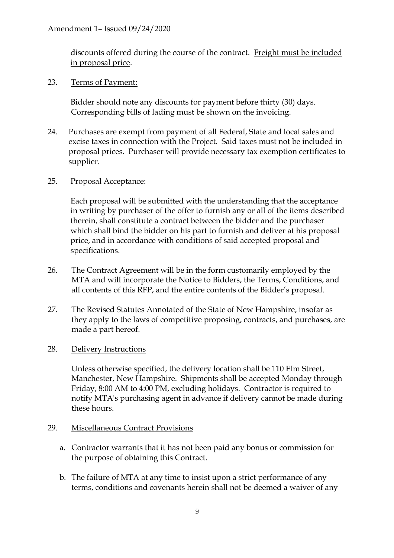discounts offered during the course of the contract. Freight must be included in proposal price.

### 23. Terms of Payment**:**

Bidder should note any discounts for payment before thirty (30) days. Corresponding bills of lading must be shown on the invoicing.

24. Purchases are exempt from payment of all Federal, State and local sales and excise taxes in connection with the Project. Said taxes must not be included in proposal prices. Purchaser will provide necessary tax exemption certificates to supplier.

## 25. Proposal Acceptance:

Each proposal will be submitted with the understanding that the acceptance in writing by purchaser of the offer to furnish any or all of the items described therein, shall constitute a contract between the bidder and the purchaser which shall bind the bidder on his part to furnish and deliver at his proposal price, and in accordance with conditions of said accepted proposal and specifications.

- 26. The Contract Agreement will be in the form customarily employed by the MTA and will incorporate the Notice to Bidders, the Terms, Conditions, and all contents of this RFP, and the entire contents of the Bidder's proposal.
- 27. The Revised Statutes Annotated of the State of New Hampshire, insofar as they apply to the laws of competitive proposing, contracts, and purchases, are made a part hereof.

### 28. Delivery Instructions

Unless otherwise specified, the delivery location shall be 110 Elm Street, Manchester, New Hampshire. Shipments shall be accepted Monday through Friday, 8:00 AM to 4:00 PM, excluding holidays. Contractor is required to notify MTA's purchasing agent in advance if delivery cannot be made during these hours.

### 29. Miscellaneous Contract Provisions

- a. Contractor warrants that it has not been paid any bonus or commission for the purpose of obtaining this Contract.
- b. The failure of MTA at any time to insist upon a strict performance of any terms, conditions and covenants herein shall not be deemed a waiver of any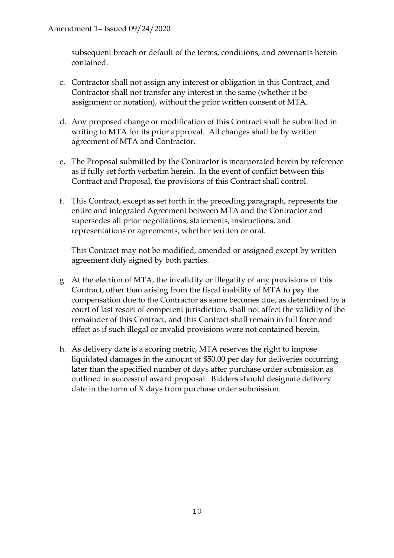subsequent breach or default of the terms, conditions, and covenants herein contained.

- c. Contractor shall not assign any interest or obligation in this Contract, and Contractor shall not transfer any interest in the same (whether it be assignment or notation), without the prior written consent of MTA.
- d. Any proposed change or modification of this Contract shall be submitted in writing to MTA for its prior approval. All changes shall be by written agreement of MTA and Contractor.
- e. The Proposal submitted by the Contractor is incorporated herein by reference as if fully set forth verbatim herein. In the event of conflict between this Contract and Proposal, the provisions of this Contract shall control.
- f. This Contract, except as set forth in the preceding paragraph, represents the entire and integrated Agreement between MTA and the Contractor and supersedes all prior negotiations, statements, instructions, and representations or agreements, whether written or oral.

This Contract may not be modified, amended or assigned except by written agreement duly signed by both parties.

- g. At the election of MTA, the invalidity or illegality of any provisions of this Contract, other than arising from the fiscal inability of MTA to pay the compensation due to the Contractor as same becomes due, as determined by a court of last resort of competent jurisdiction, shall not affect the validity of the remainder of this Contract, and this Contract shall remain in full force and effect as if such illegal or invalid provisions were not contained herein.
- h. As delivery date is a scoring metric, MTA reserves the right to impose liquidated damages in the amount of \$50.00 per day for deliveries occurring later than the specified number of days after purchase order submission as outlined in successful award proposal. Bidders should designate delivery date in the form of X days from purchase order submission.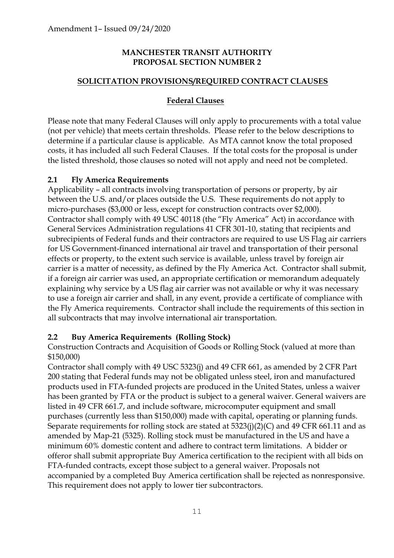### **MANCHESTER TRANSIT AUTHORITY PROPOSAL SECTION NUMBER 2**

### **SOLICITATION PROVISIONS/REQUIRED CONTRACT CLAUSES**

### **Federal Clauses**

Please note that many Federal Clauses will only apply to procurements with a total value (not per vehicle) that meets certain thresholds. Please refer to the below descriptions to determine if a particular clause is applicable. As MTA cannot know the total proposed costs, it has included all such Federal Clauses. If the total costs for the proposal is under the listed threshold, those clauses so noted will not apply and need not be completed.

### **2.1 Fly America Requirements**

Applicability – all contracts involving transportation of persons or property, by air between the U.S. and/or places outside the U.S. These requirements do not apply to micro-purchases (\$3,000 or less, except for construction contracts over \$2,000). Contractor shall comply with 49 USC 40118 (the "Fly America" Act) in accordance with General Services Administration regulations 41 CFR 301-10, stating that recipients and subrecipients of Federal funds and their contractors are required to use US Flag air carriers for US Government-financed international air travel and transportation of their personal effects or property, to the extent such service is available, unless travel by foreign air carrier is a matter of necessity, as defined by the Fly America Act. Contractor shall submit, if a foreign air carrier was used, an appropriate certification or memorandum adequately explaining why service by a US flag air carrier was not available or why it was necessary to use a foreign air carrier and shall, in any event, provide a certificate of compliance with the Fly America requirements. Contractor shall include the requirements of this section in all subcontracts that may involve international air transportation.

### **2.2 Buy America Requirements (Rolling Stock)**

Construction Contracts and Acquisition of Goods or Rolling Stock (valued at more than \$150,000)

Contractor shall comply with 49 USC 5323(j) and 49 CFR 661, as amended by 2 CFR Part 200 stating that Federal funds may not be obligated unless steel, iron and manufactured products used in FTA-funded projects are produced in the United States, unless a waiver has been granted by FTA or the product is subject to a general waiver. General waivers are listed in 49 CFR 661.7, and include software, microcomputer equipment and small purchases (currently less than \$150,000) made with capital, operating or planning funds. Separate requirements for rolling stock are stated at 5323(j)(2)(C) and 49 CFR 661.11 and as amended by Map-21 (5325). Rolling stock must be manufactured in the US and have a minimum 60% domestic content and adhere to contract term limitations. A bidder or offeror shall submit appropriate Buy America certification to the recipient with all bids on FTA-funded contracts, except those subject to a general waiver. Proposals not accompanied by a completed Buy America certification shall be rejected as nonresponsive. This requirement does not apply to lower tier subcontractors.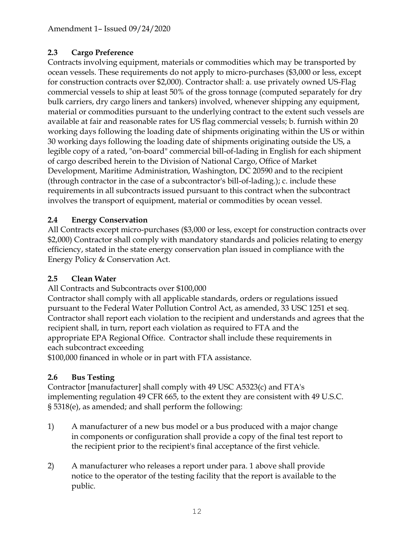# **2.3 Cargo Preference**

Contracts involving equipment, materials or commodities which may be transported by ocean vessels. These requirements do not apply to micro-purchases (\$3,000 or less, except for construction contracts over \$2,000). Contractor shall: a. use privately owned US-Flag commercial vessels to ship at least 50% of the gross tonnage (computed separately for dry bulk carriers, dry cargo liners and tankers) involved, whenever shipping any equipment, material or commodities pursuant to the underlying contract to the extent such vessels are available at fair and reasonable rates for US flag commercial vessels; b. furnish within 20 working days following the loading date of shipments originating within the US or within 30 working days following the loading date of shipments originating outside the US, a legible copy of a rated, "on-board" commercial bill-of-lading in English for each shipment of cargo described herein to the Division of National Cargo, Office of Market Development, Maritime Administration, Washington, DC 20590 and to the recipient (through contractor in the case of a subcontractor's bill-of-lading.); c. include these requirements in all subcontracts issued pursuant to this contract when the subcontract involves the transport of equipment, material or commodities by ocean vessel.

# **2.4 Energy Conservation**

All Contracts except micro-purchases (\$3,000 or less, except for construction contracts over \$2,000) Contractor shall comply with mandatory standards and policies relating to energy efficiency, stated in the state energy conservation plan issued in compliance with the Energy Policy & Conservation Act.

# **2.5 Clean Water**

All Contracts and Subcontracts over \$100,000

Contractor shall comply with all applicable standards, orders or regulations issued pursuant to the Federal Water Pollution Control Act, as amended, 33 USC 1251 et seq. Contractor shall report each violation to the recipient and understands and agrees that the recipient shall, in turn, report each violation as required to FTA and the appropriate EPA Regional Office. Contractor shall include these requirements in each subcontract exceeding

\$100,000 financed in whole or in part with FTA assistance.

# **2.6 Bus Testing**

Contractor [manufacturer] shall comply with 49 USC A5323(c) and FTA's implementing regulation 49 CFR 665, to the extent they are consistent with 49 U.S.C. § 5318(e), as amended; and shall perform the following:

- 1) A manufacturer of a new bus model or a bus produced with a major change in components or configuration shall provide a copy of the final test report to the recipient prior to the recipient's final acceptance of the first vehicle.
- 2) A manufacturer who releases a report under para. 1 above shall provide notice to the operator of the testing facility that the report is available to the public.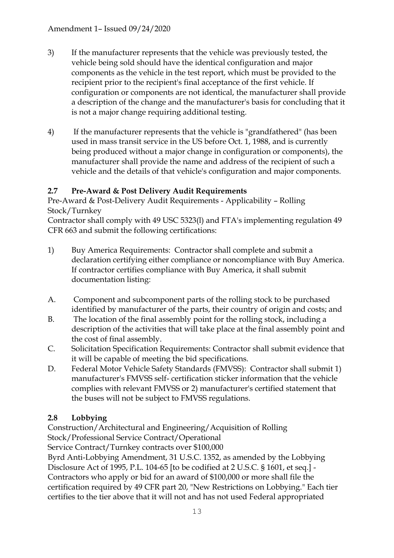- 3) If the manufacturer represents that the vehicle was previously tested, the vehicle being sold should have the identical configuration and major components as the vehicle in the test report, which must be provided to the recipient prior to the recipient's final acceptance of the first vehicle. If configuration or components are not identical, the manufacturer shall provide a description of the change and the manufacturer's basis for concluding that it is not a major change requiring additional testing.
- 4) If the manufacturer represents that the vehicle is "grandfathered" (has been used in mass transit service in the US before Oct. 1, 1988, and is currently being produced without a major change in configuration or components), the manufacturer shall provide the name and address of the recipient of such a vehicle and the details of that vehicle's configuration and major components.

# **2.7 Pre-Award & Post Delivery Audit Requirements**

Pre-Award & Post-Delivery Audit Requirements - Applicability – Rolling Stock/Turnkey

Contractor shall comply with 49 USC 5323(l) and FTA's implementing regulation 49 CFR 663 and submit the following certifications:

- 1) Buy America Requirements: Contractor shall complete and submit a declaration certifying either compliance or noncompliance with Buy America. If contractor certifies compliance with Buy America, it shall submit documentation listing:
- A. Component and subcomponent parts of the rolling stock to be purchased identified by manufacturer of the parts, their country of origin and costs; and
- B. The location of the final assembly point for the rolling stock, including a description of the activities that will take place at the final assembly point and the cost of final assembly.
- C. Solicitation Specification Requirements: Contractor shall submit evidence that it will be capable of meeting the bid specifications.
- D. Federal Motor Vehicle Safety Standards (FMVSS): Contractor shall submit 1) manufacturer's FMVSS self- certification sticker information that the vehicle complies with relevant FMVSS or 2) manufacturer's certified statement that the buses will not be subject to FMVSS regulations.

# **2.8 Lobbying**

Construction/Architectural and Engineering/Acquisition of Rolling Stock/Professional Service Contract/Operational

Service Contract/Turnkey contracts over \$100,000

Byrd Anti-Lobbying Amendment, 31 U.S.C. 1352, as amended by the Lobbying Disclosure Act of 1995, P.L. 104-65 [to be codified at 2 U.S.C. § 1601, et seq.] - Contractors who apply or bid for an award of \$100,000 or more shall file the certification required by 49 CFR part 20, "New Restrictions on Lobbying." Each tier certifies to the tier above that it will not and has not used Federal appropriated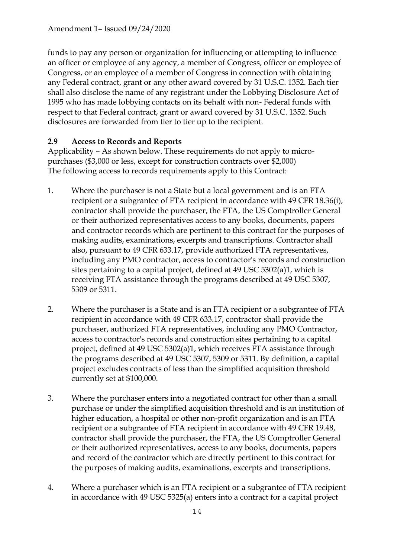funds to pay any person or organization for influencing or attempting to influence an officer or employee of any agency, a member of Congress, officer or employee of Congress, or an employee of a member of Congress in connection with obtaining any Federal contract, grant or any other award covered by 31 U.S.C. 1352. Each tier shall also disclose the name of any registrant under the Lobbying Disclosure Act of 1995 who has made lobbying contacts on its behalf with non- Federal funds with respect to that Federal contract, grant or award covered by 31 U.S.C. 1352. Such disclosures are forwarded from tier to tier up to the recipient.

## **2.9 Access to Records and Reports**

Applicability – As shown below. These requirements do not apply to micropurchases (\$3,000 or less, except for construction contracts over \$2,000) The following access to records requirements apply to this Contract:

- 1. Where the purchaser is not a State but a local government and is an FTA recipient or a subgrantee of FTA recipient in accordance with 49 CFR 18.36(i), contractor shall provide the purchaser, the FTA, the US Comptroller General or their authorized representatives access to any books, documents, papers and contractor records which are pertinent to this contract for the purposes of making audits, examinations, excerpts and transcriptions. Contractor shall also, pursuant to 49 CFR 633.17, provide authorized FTA representatives, including any PMO contractor, access to contractor's records and construction sites pertaining to a capital project, defined at 49 USC 5302(a)1, which is receiving FTA assistance through the programs described at 49 USC 5307, 5309 or 5311.
- 2. Where the purchaser is a State and is an FTA recipient or a subgrantee of FTA recipient in accordance with 49 CFR 633.17, contractor shall provide the purchaser, authorized FTA representatives, including any PMO Contractor, access to contractor's records and construction sites pertaining to a capital project, defined at 49 USC 5302(a)1, which receives FTA assistance through the programs described at 49 USC 5307, 5309 or 5311. By definition, a capital project excludes contracts of less than the simplified acquisition threshold currently set at \$100,000.
- 3. Where the purchaser enters into a negotiated contract for other than a small purchase or under the simplified acquisition threshold and is an institution of higher education, a hospital or other non-profit organization and is an FTA recipient or a subgrantee of FTA recipient in accordance with 49 CFR 19.48, contractor shall provide the purchaser, the FTA, the US Comptroller General or their authorized representatives, access to any books, documents, papers and record of the contractor which are directly pertinent to this contract for the purposes of making audits, examinations, excerpts and transcriptions.
- 4. Where a purchaser which is an FTA recipient or a subgrantee of FTA recipient in accordance with 49 USC 5325(a) enters into a contract for a capital project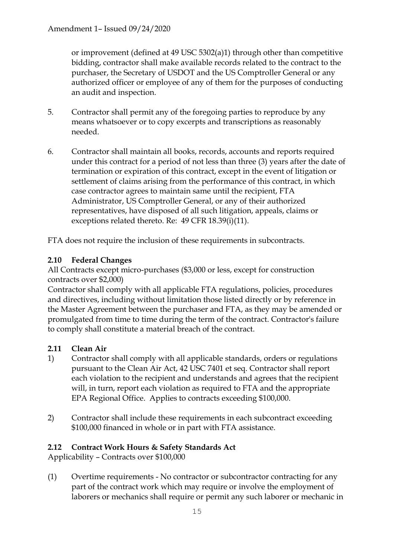or improvement (defined at 49 USC 5302(a)1) through other than competitive bidding, contractor shall make available records related to the contract to the purchaser, the Secretary of USDOT and the US Comptroller General or any authorized officer or employee of any of them for the purposes of conducting an audit and inspection.

- 5. Contractor shall permit any of the foregoing parties to reproduce by any means whatsoever or to copy excerpts and transcriptions as reasonably needed.
- 6. Contractor shall maintain all books, records, accounts and reports required under this contract for a period of not less than three (3) years after the date of termination or expiration of this contract, except in the event of litigation or settlement of claims arising from the performance of this contract, in which case contractor agrees to maintain same until the recipient, FTA Administrator, US Comptroller General, or any of their authorized representatives, have disposed of all such litigation, appeals, claims or exceptions related thereto. Re: 49 CFR 18.39(i)(11).

FTA does not require the inclusion of these requirements in subcontracts.

# **2.10 Federal Changes**

All Contracts except micro-purchases (\$3,000 or less, except for construction contracts over \$2,000)

Contractor shall comply with all applicable FTA regulations, policies, procedures and directives, including without limitation those listed directly or by reference in the Master Agreement between the purchaser and FTA, as they may be amended or promulgated from time to time during the term of the contract. Contractor's failure to comply shall constitute a material breach of the contract.

### **2.11 Clean Air**

- 1) Contractor shall comply with all applicable standards, orders or regulations pursuant to the Clean Air Act, 42 USC 7401 et seq. Contractor shall report each violation to the recipient and understands and agrees that the recipient will, in turn, report each violation as required to FTA and the appropriate EPA Regional Office. Applies to contracts exceeding \$100,000.
- 2) Contractor shall include these requirements in each subcontract exceeding \$100,000 financed in whole or in part with FTA assistance.

### **2.12 Contract Work Hours & Safety Standards Act**

Applicability – Contracts over \$100,000

(1) Overtime requirements - No contractor or subcontractor contracting for any part of the contract work which may require or involve the employment of laborers or mechanics shall require or permit any such laborer or mechanic in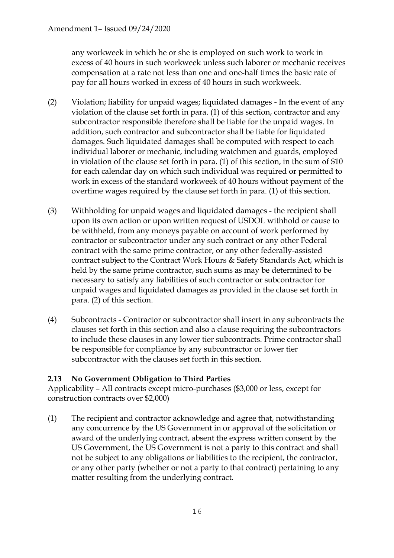any workweek in which he or she is employed on such work to work in excess of 40 hours in such workweek unless such laborer or mechanic receives compensation at a rate not less than one and one-half times the basic rate of pay for all hours worked in excess of 40 hours in such workweek.

- (2) Violation; liability for unpaid wages; liquidated damages In the event of any violation of the clause set forth in para. (1) of this section, contractor and any subcontractor responsible therefore shall be liable for the unpaid wages. In addition, such contractor and subcontractor shall be liable for liquidated damages. Such liquidated damages shall be computed with respect to each individual laborer or mechanic, including watchmen and guards, employed in violation of the clause set forth in para. (1) of this section, in the sum of \$10 for each calendar day on which such individual was required or permitted to work in excess of the standard workweek of 40 hours without payment of the overtime wages required by the clause set forth in para. (1) of this section.
- (3) Withholding for unpaid wages and liquidated damages the recipient shall upon its own action or upon written request of USDOL withhold or cause to be withheld, from any moneys payable on account of work performed by contractor or subcontractor under any such contract or any other Federal contract with the same prime contractor, or any other federally-assisted contract subject to the Contract Work Hours & Safety Standards Act, which is held by the same prime contractor, such sums as may be determined to be necessary to satisfy any liabilities of such contractor or subcontractor for unpaid wages and liquidated damages as provided in the clause set forth in para. (2) of this section.
- (4) Subcontracts Contractor or subcontractor shall insert in any subcontracts the clauses set forth in this section and also a clause requiring the subcontractors to include these clauses in any lower tier subcontracts. Prime contractor shall be responsible for compliance by any subcontractor or lower tier subcontractor with the clauses set forth in this section.

### **2.13 No Government Obligation to Third Parties**

Applicability – All contracts except micro-purchases (\$3,000 or less, except for construction contracts over \$2,000)

(1) The recipient and contractor acknowledge and agree that, notwithstanding any concurrence by the US Government in or approval of the solicitation or award of the underlying contract, absent the express written consent by the US Government, the US Government is not a party to this contract and shall not be subject to any obligations or liabilities to the recipient, the contractor, or any other party (whether or not a party to that contract) pertaining to any matter resulting from the underlying contract.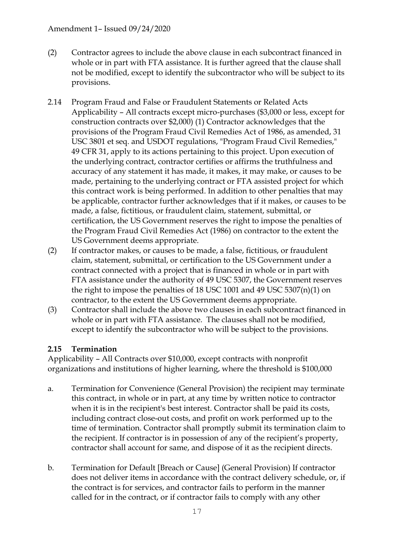### Amendment 1– Issued 09/24/2020

- (2) Contractor agrees to include the above clause in each subcontract financed in whole or in part with FTA assistance. It is further agreed that the clause shall not be modified, except to identify the subcontractor who will be subject to its provisions.
- 2.14 Program Fraud and False or Fraudulent Statements or Related Acts Applicability – All contracts except micro-purchases (\$3,000 or less, except for construction contracts over \$2,000) (1) Contractor acknowledges that the provisions of the Program Fraud Civil Remedies Act of 1986, as amended, 31 USC 3801 et seq. and USDOT regulations, "Program Fraud Civil Remedies," 49 CFR 31, apply to its actions pertaining to this project. Upon execution of the underlying contract, contractor certifies or affirms the truthfulness and accuracy of any statement it has made, it makes, it may make, or causes to be made, pertaining to the underlying contract or FTA assisted project for which this contract work is being performed. In addition to other penalties that may be applicable, contractor further acknowledges that if it makes, or causes to be made, a false, fictitious, or fraudulent claim, statement, submittal, or certification, the US Government reserves the right to impose the penalties of the Program Fraud Civil Remedies Act (1986) on contractor to the extent the US Government deems appropriate.
- (2) If contractor makes, or causes to be made, a false, fictitious, or fraudulent claim, statement, submittal, or certification to the US Government under a contract connected with a project that is financed in whole or in part with FTA assistance under the authority of 49 USC 5307, the Government reserves the right to impose the penalties of 18 USC 1001 and 49 USC 5307(n)(1) on contractor, to the extent the US Government deems appropriate.
- (3) Contractor shall include the above two clauses in each subcontract financed in whole or in part with FTA assistance. The clauses shall not be modified, except to identify the subcontractor who will be subject to the provisions.

### **2.15 Termination**

Applicability – All Contracts over \$10,000, except contracts with nonprofit organizations and institutions of higher learning, where the threshold is \$100,000

- a. Termination for Convenience (General Provision) the recipient may terminate this contract, in whole or in part, at any time by written notice to contractor when it is in the recipient's best interest. Contractor shall be paid its costs, including contract close-out costs, and profit on work performed up to the time of termination. Contractor shall promptly submit its termination claim to the recipient. If contractor is in possession of any of the recipient's property, contractor shall account for same, and dispose of it as the recipient directs.
- b. Termination for Default [Breach or Cause] (General Provision) If contractor does not deliver items in accordance with the contract delivery schedule, or, if the contract is for services, and contractor fails to perform in the manner called for in the contract, or if contractor fails to comply with any other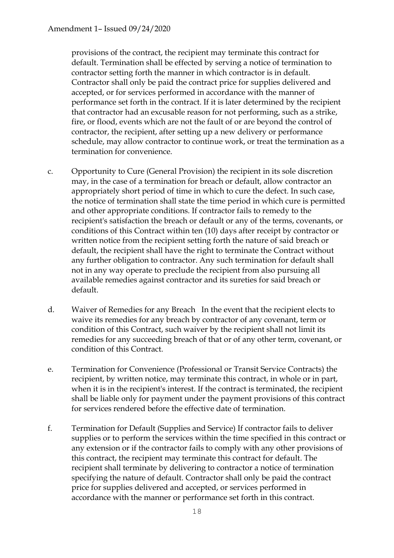provisions of the contract, the recipient may terminate this contract for default. Termination shall be effected by serving a notice of termination to contractor setting forth the manner in which contractor is in default. Contractor shall only be paid the contract price for supplies delivered and accepted, or for services performed in accordance with the manner of performance set forth in the contract. If it is later determined by the recipient that contractor had an excusable reason for not performing, such as a strike, fire, or flood, events which are not the fault of or are beyond the control of contractor, the recipient, after setting up a new delivery or performance schedule, may allow contractor to continue work, or treat the termination as a termination for convenience.

- c. Opportunity to Cure (General Provision) the recipient in its sole discretion may, in the case of a termination for breach or default, allow contractor an appropriately short period of time in which to cure the defect. In such case, the notice of termination shall state the time period in which cure is permitted and other appropriate conditions. If contractor fails to remedy to the recipient's satisfaction the breach or default or any of the terms, covenants, or conditions of this Contract within ten (10) days after receipt by contractor or written notice from the recipient setting forth the nature of said breach or default, the recipient shall have the right to terminate the Contract without any further obligation to contractor. Any such termination for default shall not in any way operate to preclude the recipient from also pursuing all available remedies against contractor and its sureties for said breach or default.
- d. Waiver of Remedies for any Breach In the event that the recipient elects to waive its remedies for any breach by contractor of any covenant, term or condition of this Contract, such waiver by the recipient shall not limit its remedies for any succeeding breach of that or of any other term, covenant, or condition of this Contract.
- e. Termination for Convenience (Professional or Transit Service Contracts) the recipient, by written notice, may terminate this contract, in whole or in part, when it is in the recipient's interest. If the contract is terminated, the recipient shall be liable only for payment under the payment provisions of this contract for services rendered before the effective date of termination.
- f. Termination for Default (Supplies and Service) If contractor fails to deliver supplies or to perform the services within the time specified in this contract or any extension or if the contractor fails to comply with any other provisions of this contract, the recipient may terminate this contract for default. The recipient shall terminate by delivering to contractor a notice of termination specifying the nature of default. Contractor shall only be paid the contract price for supplies delivered and accepted, or services performed in accordance with the manner or performance set forth in this contract.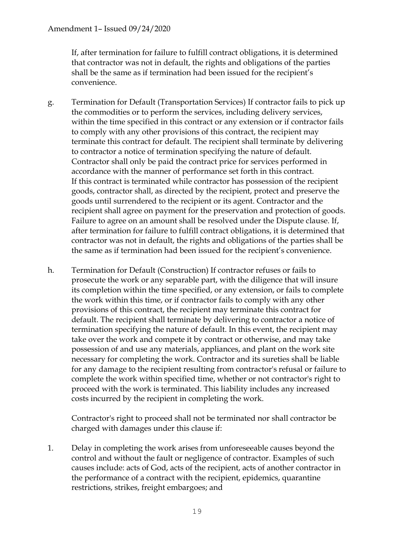If, after termination for failure to fulfill contract obligations, it is determined that contractor was not in default, the rights and obligations of the parties shall be the same as if termination had been issued for the recipient's convenience.

- g. Termination for Default (Transportation Services) If contractor fails to pick up the commodities or to perform the services, including delivery services, within the time specified in this contract or any extension or if contractor fails to comply with any other provisions of this contract, the recipient may terminate this contract for default. The recipient shall terminate by delivering to contractor a notice of termination specifying the nature of default. Contractor shall only be paid the contract price for services performed in accordance with the manner of performance set forth in this contract. If this contract is terminated while contractor has possession of the recipient goods, contractor shall, as directed by the recipient, protect and preserve the goods until surrendered to the recipient or its agent. Contractor and the recipient shall agree on payment for the preservation and protection of goods. Failure to agree on an amount shall be resolved under the Dispute clause. If, after termination for failure to fulfill contract obligations, it is determined that contractor was not in default, the rights and obligations of the parties shall be the same as if termination had been issued for the recipient's convenience.
- h. Termination for Default (Construction) If contractor refuses or fails to prosecute the work or any separable part, with the diligence that will insure its completion within the time specified, or any extension, or fails to complete the work within this time, or if contractor fails to comply with any other provisions of this contract, the recipient may terminate this contract for default. The recipient shall terminate by delivering to contractor a notice of termination specifying the nature of default. In this event, the recipient may take over the work and compete it by contract or otherwise, and may take possession of and use any materials, appliances, and plant on the work site necessary for completing the work. Contractor and its sureties shall be liable for any damage to the recipient resulting from contractor's refusal or failure to complete the work within specified time, whether or not contractor's right to proceed with the work is terminated. This liability includes any increased costs incurred by the recipient in completing the work.

Contractor's right to proceed shall not be terminated nor shall contractor be charged with damages under this clause if:

1. Delay in completing the work arises from unforeseeable causes beyond the control and without the fault or negligence of contractor. Examples of such causes include: acts of God, acts of the recipient, acts of another contractor in the performance of a contract with the recipient, epidemics, quarantine restrictions, strikes, freight embargoes; and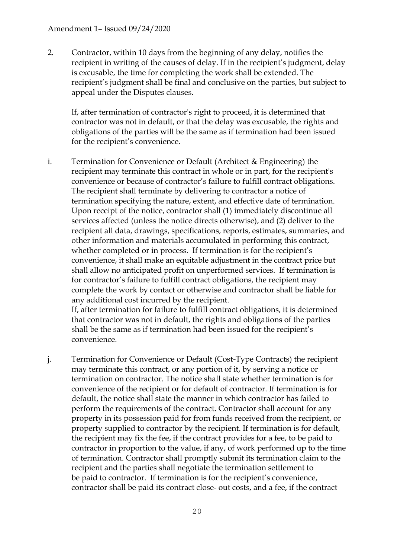#### Amendment 1– Issued 09/24/2020

2. Contractor, within 10 days from the beginning of any delay, notifies the recipient in writing of the causes of delay. If in the recipient's judgment, delay is excusable, the time for completing the work shall be extended. The recipient's judgment shall be final and conclusive on the parties, but subject to appeal under the Disputes clauses.

If, after termination of contractor's right to proceed, it is determined that contractor was not in default, or that the delay was excusable, the rights and obligations of the parties will be the same as if termination had been issued for the recipient's convenience.

i. Termination for Convenience or Default (Architect & Engineering) the recipient may terminate this contract in whole or in part, for the recipient's convenience or because of contractor's failure to fulfill contract obligations. The recipient shall terminate by delivering to contractor a notice of termination specifying the nature, extent, and effective date of termination. Upon receipt of the notice, contractor shall (1) immediately discontinue all services affected (unless the notice directs otherwise), and (2) deliver to the recipient all data, drawings, specifications, reports, estimates, summaries, and other information and materials accumulated in performing this contract, whether completed or in process. If termination is for the recipient's convenience, it shall make an equitable adjustment in the contract price but shall allow no anticipated profit on unperformed services. If termination is for contractor's failure to fulfill contract obligations, the recipient may complete the work by contact or otherwise and contractor shall be liable for any additional cost incurred by the recipient. If, after termination for failure to fulfill contract obligations, it is determined

that contractor was not in default, the rights and obligations of the parties shall be the same as if termination had been issued for the recipient's convenience.

j. Termination for Convenience or Default (Cost-Type Contracts) the recipient may terminate this contract, or any portion of it, by serving a notice or termination on contractor. The notice shall state whether termination is for convenience of the recipient or for default of contractor. If termination is for default, the notice shall state the manner in which contractor has failed to perform the requirements of the contract. Contractor shall account for any property in its possession paid for from funds received from the recipient, or property supplied to contractor by the recipient. If termination is for default, the recipient may fix the fee, if the contract provides for a fee, to be paid to contractor in proportion to the value, if any, of work performed up to the time of termination. Contractor shall promptly submit its termination claim to the recipient and the parties shall negotiate the termination settlement to be paid to contractor. If termination is for the recipient's convenience, contractor shall be paid its contract close- out costs, and a fee, if the contract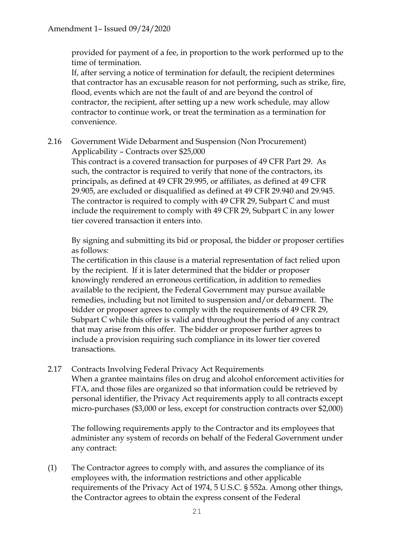provided for payment of a fee, in proportion to the work performed up to the time of termination.

If, after serving a notice of termination for default, the recipient determines that contractor has an excusable reason for not performing, such as strike, fire, flood, events which are not the fault of and are beyond the control of contractor, the recipient, after setting up a new work schedule, may allow contractor to continue work, or treat the termination as a termination for convenience.

2.16 Government Wide Debarment and Suspension (Non Procurement) Applicability – Contracts over \$25,000

This contract is a covered transaction for purposes of 49 CFR Part 29. As such, the contractor is required to verify that none of the contractors, its principals, as defined at 49 CFR 29.995, or affiliates, as defined at 49 CFR 29.905, are excluded or disqualified as defined at 49 CFR 29.940 and 29.945. The contractor is required to comply with 49 CFR 29, Subpart C and must include the requirement to comply with 49 CFR 29, Subpart C in any lower tier covered transaction it enters into.

By signing and submitting its bid or proposal, the bidder or proposer certifies as follows:

The certification in this clause is a material representation of fact relied upon by the recipient. If it is later determined that the bidder or proposer knowingly rendered an erroneous certification, in addition to remedies available to the recipient, the Federal Government may pursue available remedies, including but not limited to suspension and/or debarment. The bidder or proposer agrees to comply with the requirements of 49 CFR 29, Subpart C while this offer is valid and throughout the period of any contract that may arise from this offer. The bidder or proposer further agrees to include a provision requiring such compliance in its lower tier covered transactions.

### 2.17 Contracts Involving Federal Privacy Act Requirements

When a grantee maintains files on drug and alcohol enforcement activities for FTA, and those files are organized so that information could be retrieved by personal identifier, the Privacy Act requirements apply to all contracts except micro-purchases (\$3,000 or less, except for construction contracts over \$2,000)

The following requirements apply to the Contractor and its employees that administer any system of records on behalf of the Federal Government under any contract:

(1) The Contractor agrees to comply with, and assures the compliance of its employees with, the information restrictions and other applicable requirements of the Privacy Act of 1974, 5 U.S.C. § 552a. Among other things, the Contractor agrees to obtain the express consent of the Federal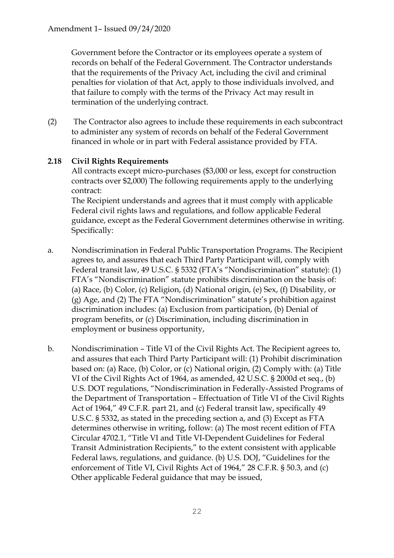Government before the Contractor or its employees operate a system of records on behalf of the Federal Government. The Contractor understands that the requirements of the Privacy Act, including the civil and criminal penalties for violation of that Act, apply to those individuals involved, and that failure to comply with the terms of the Privacy Act may result in termination of the underlying contract.

(2) The Contractor also agrees to include these requirements in each subcontract to administer any system of records on behalf of the Federal Government financed in whole or in part with Federal assistance provided by FTA.

## **2.18 Civil Rights Requirements**

All contracts except micro-purchases (\$3,000 or less, except for construction contracts over \$2,000) The following requirements apply to the underlying contract:

The Recipient understands and agrees that it must comply with applicable Federal civil rights laws and regulations, and follow applicable Federal guidance, except as the Federal Government determines otherwise in writing. Specifically:

- a. Nondiscrimination in Federal Public Transportation Programs. The Recipient agrees to, and assures that each Third Party Participant will, comply with Federal transit law, 49 U.S.C. § 5332 (FTA's "Nondiscrimination" statute): (1) FTA's "Nondiscrimination" statute prohibits discrimination on the basis of: (a) Race, (b) Color, (c) Religion, (d) National origin, (e) Sex, (f) Disability, or (g) Age, and (2) The FTA "Nondiscrimination" statute's prohibition against discrimination includes: (a) Exclusion from participation, (b) Denial of program benefits, or (c) Discrimination, including discrimination in employment or business opportunity,
- b. Nondiscrimination Title VI of the Civil Rights Act. The Recipient agrees to, and assures that each Third Party Participant will: (1) Prohibit discrimination based on: (a) Race, (b) Color, or (c) National origin, (2) Comply with: (a) Title VI of the Civil Rights Act of 1964, as amended, 42 U.S.C. § 2000d et seq., (b) U.S. DOT regulations, "Nondiscrimination in Federally-Assisted Programs of the Department of Transportation – Effectuation of Title VI of the Civil Rights Act of 1964," 49 C.F.R. part 21, and (c) Federal transit law, specifically 49 U.S.C. § 5332, as stated in the preceding section a, and (3) Except as FTA determines otherwise in writing, follow: (a) The most recent edition of FTA Circular 4702.1, "Title VI and Title VI-Dependent Guidelines for Federal Transit Administration Recipients," to the extent consistent with applicable Federal laws, regulations, and guidance. (b) U.S. DOJ, "Guidelines for the enforcement of Title VI, Civil Rights Act of 1964," 28 C.F.R. § 50.3, and (c) Other applicable Federal guidance that may be issued,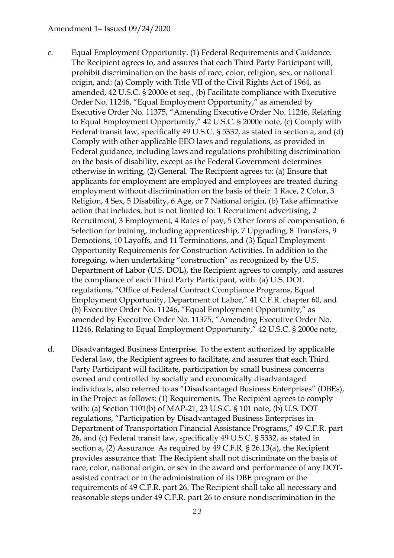#### Amendment 1– Issued 09/24/2020

- c. Equal Employment Opportunity. (1) Federal Requirements and Guidance. The Recipient agrees to, and assures that each Third Party Participant will, prohibit discrimination on the basis of race, color, religion, sex, or national origin, and: (a) Comply with Title VII of the Civil Rights Act of 1964, as amended, 42 U.S.C. § 2000e et seq., (b) Facilitate compliance with Executive Order No. 11246, "Equal Employment Opportunity," as amended by Executive Order No. 11375, "Amending Executive Order No. 11246, Relating to Equal Employment Opportunity," 42 U.S.C. § 2000e note, (c) Comply with Federal transit law, specifically 49 U.S.C. § 5332, as stated in section a, and (d) Comply with other applicable EEO laws and regulations, as provided in Federal guidance, including laws and regulations prohibiting discrimination on the basis of disability, except as the Federal Government determines otherwise in writing, (2) General. The Recipient agrees to: (a) Ensure that applicants for employment are employed and employees are treated during employment without discrimination on the basis of their: 1 Race, 2 Color, 3 Religion, 4 Sex, 5 Disability, 6 Age, or 7 National origin, (b) Take affirmative action that includes, but is not limited to: 1 Recruitment advertising, 2 Recruitment, 3 Employment, 4 Rates of pay, 5 Other forms of compensation, 6 Selection for training, including apprenticeship, 7 Upgrading, 8 Transfers, 9 Demotions, 10 Layoffs, and 11 Terminations, and (3) Equal Employment Opportunity Requirements for Construction Activities. In addition to the foregoing, when undertaking "construction" as recognized by the U.S. Department of Labor (U.S. DOL), the Recipient agrees to comply, and assures the compliance of each Third Party Participant, with: (a) U.S. DOL regulations, "Office of Federal Contract Compliance Programs, Equal Employment Opportunity, Department of Labor," 41 C.F.R. chapter 60, and (b) Executive Order No. 11246, "Equal Employment Opportunity," as amended by Executive Order No. 11375, "Amending Executive Order No. 11246, Relating to Equal Employment Opportunity," 42 U.S.C. § 2000e note,
- d. Disadvantaged Business Enterprise. To the extent authorized by applicable Federal law, the Recipient agrees to facilitate, and assures that each Third Party Participant will facilitate, participation by small business concerns owned and controlled by socially and economically disadvantaged individuals, also referred to as "Disadvantaged Business Enterprises" (DBEs), in the Project as follows: (1) Requirements. The Recipient agrees to comply with: (a) Section 1101(b) of MAP-21, 23 U.S.C. § 101 note, (b) U.S. DOT regulations, "Participation by Disadvantaged Business Enterprises in Department of Transportation Financial Assistance Programs," 49 C.F.R. part 26, and (c) Federal transit law, specifically 49 U.S.C. § 5332, as stated in section a, (2) Assurance. As required by 49 C.F.R. § 26.13(a), the Recipient provides assurance that: The Recipient shall not discriminate on the basis of race, color, national origin, or sex in the award and performance of any DOTassisted contract or in the administration of its DBE program or the requirements of 49 C.F.R. part 26. The Recipient shall take all necessary and reasonable steps under 49 C.F.R. part 26 to ensure nondiscrimination in the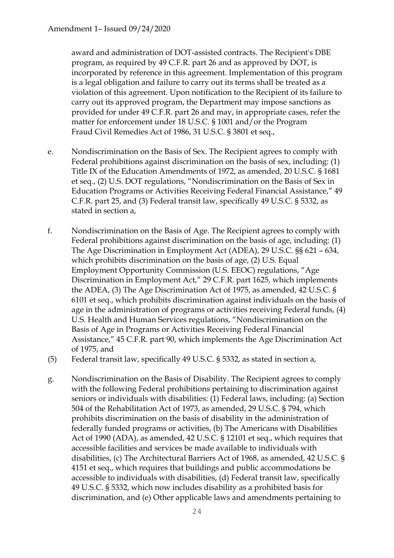award and administration of DOT-assisted contracts. The Recipient's DBE program, as required by 49 C.F.R. part 26 and as approved by DOT, is incorporated by reference in this agreement. Implementation of this program is a legal obligation and failure to carry out its terms shall be treated as a violation of this agreement. Upon notification to the Recipient of its failure to carry out its approved program, the Department may impose sanctions as provided for under 49 C.F.R. part 26 and may, in appropriate cases, refer the matter for enforcement under 18 U.S.C. § 1001 and/or the Program Fraud Civil Remedies Act of 1986, 31 U.S.C. § 3801 et seq.,

- e. Nondiscrimination on the Basis of Sex. The Recipient agrees to comply with Federal prohibitions against discrimination on the basis of sex, including: (1) Title IX of the Education Amendments of 1972, as amended, 20 U.S.C. § 1681 et seq., (2) U.S. DOT regulations, "Nondiscrimination on the Basis of Sex in Education Programs or Activities Receiving Federal Financial Assistance," 49 C.F.R. part 25, and (3) Federal transit law, specifically 49 U.S.C. § 5332, as stated in section a,
- f. Nondiscrimination on the Basis of Age. The Recipient agrees to comply with Federal prohibitions against discrimination on the basis of age, including: (1) The Age Discrimination in Employment Act (ADEA), 29 U.S.C. §§ 621 – 634, which prohibits discrimination on the basis of age, (2) U.S. Equal Employment Opportunity Commission (U.S. EEOC) regulations, "Age Discrimination in Employment Act," 29 C.F.R. part 1625, which implements the ADEA, (3) The Age Discrimination Act of 1975, as amended, 42 U.S.C. § 6101 et seq., which prohibits discrimination against individuals on the basis of age in the administration of programs or activities receiving Federal funds, (4) U.S. Health and Human Services regulations, "Nondiscrimination on the Basis of Age in Programs or Activities Receiving Federal Financial Assistance," 45 C.F.R. part 90, which implements the Age Discrimination Act of 1975, and
- (5) Federal transit law, specifically 49 U.S.C. § 5332, as stated in section a,
- g. Nondiscrimination on the Basis of Disability. The Recipient agrees to comply with the following Federal prohibitions pertaining to discrimination against seniors or individuals with disabilities: (1) Federal laws, including: (a) Section 504 of the Rehabilitation Act of 1973, as amended, 29 U.S.C. § 794, which prohibits discrimination on the basis of disability in the administration of federally funded programs or activities, (b) The Americans with Disabilities Act of 1990 (ADA), as amended, 42 U.S.C. § 12101 et seq., which requires that accessible facilities and services be made available to individuals with disabilities, (c) The Architectural Barriers Act of 1968, as amended, 42 U.S.C. § 4151 et seq., which requires that buildings and public accommodations be accessible to individuals with disabilities, (d) Federal transit law, specifically 49 U.S.C. § 5332, which now includes disability as a prohibited basis for discrimination, and (e) Other applicable laws and amendments pertaining to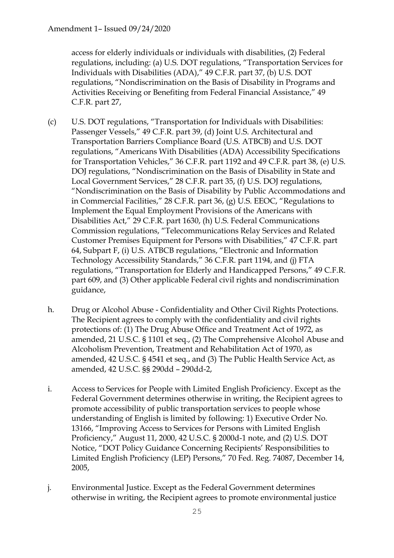access for elderly individuals or individuals with disabilities, (2) Federal regulations, including: (a) U.S. DOT regulations, "Transportation Services for Individuals with Disabilities (ADA)," 49 C.F.R. part 37, (b) U.S. DOT regulations, "Nondiscrimination on the Basis of Disability in Programs and Activities Receiving or Benefiting from Federal Financial Assistance," 49 C.F.R. part 27,

- (c) U.S. DOT regulations, "Transportation for Individuals with Disabilities: Passenger Vessels," 49 C.F.R. part 39, (d) Joint U.S. Architectural and Transportation Barriers Compliance Board (U.S. ATBCB) and U.S. DOT regulations, "Americans With Disabilities (ADA) Accessibility Specifications for Transportation Vehicles," 36 C.F.R. part 1192 and 49 C.F.R. part 38, (e) U.S. DOJ regulations, "Nondiscrimination on the Basis of Disability in State and Local Government Services," 28 C.F.R. part 35, (f) U.S. DOJ regulations, "Nondiscrimination on the Basis of Disability by Public Accommodations and in Commercial Facilities," 28 C.F.R. part 36, (g) U.S. EEOC, "Regulations to Implement the Equal Employment Provisions of the Americans with Disabilities Act," 29 C.F.R. part 1630, (h) U.S. Federal Communications Commission regulations, "Telecommunications Relay Services and Related Customer Premises Equipment for Persons with Disabilities," 47 C.F.R. part 64, Subpart F, (i) U.S. ATBCB regulations, "Electronic and Information Technology Accessibility Standards," 36 C.F.R. part 1194, and (j) FTA regulations, "Transportation for Elderly and Handicapped Persons," 49 C.F.R. part 609, and (3) Other applicable Federal civil rights and nondiscrimination guidance,
- h. Drug or Alcohol Abuse Confidentiality and Other Civil Rights Protections. The Recipient agrees to comply with the confidentiality and civil rights protections of: (1) The Drug Abuse Office and Treatment Act of 1972, as amended, 21 U.S.C. § 1101 et seq., (2) The Comprehensive Alcohol Abuse and Alcoholism Prevention, Treatment and Rehabilitation Act of 1970, as amended, 42 U.S.C. § 4541 et seq., and (3) The Public Health Service Act, as amended, 42 U.S.C. §§ 290dd – 290dd-2,
- i. Access to Services for People with Limited English Proficiency. Except as the Federal Government determines otherwise in writing, the Recipient agrees to promote accessibility of public transportation services to people whose understanding of English is limited by following: 1) Executive Order No. 13166, "Improving Access to Services for Persons with Limited English Proficiency," August 11, 2000, 42 U.S.C. § 2000d-1 note, and (2) U.S. DOT Notice, "DOT Policy Guidance Concerning Recipients' Responsibilities to Limited English Proficiency (LEP) Persons," 70 Fed. Reg. 74087, December 14, 2005,
- j. Environmental Justice. Except as the Federal Government determines otherwise in writing, the Recipient agrees to promote environmental justice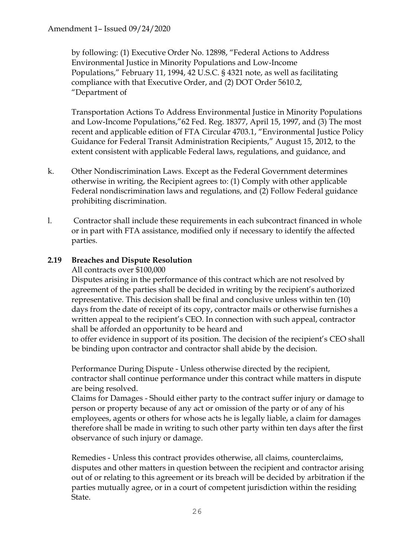by following: (1) Executive Order No. 12898, "Federal Actions to Address Environmental Justice in Minority Populations and Low-Income Populations," February 11, 1994, 42 U.S.C. § 4321 note, as well as facilitating compliance with that Executive Order, and (2) DOT Order 5610.2, "Department of

Transportation Actions To Address Environmental Justice in Minority Populations and Low-Income Populations,"62 Fed. Reg. 18377, April 15, 1997, and (3) The most recent and applicable edition of FTA Circular 4703.1, "Environmental Justice Policy Guidance for Federal Transit Administration Recipients," August 15, 2012, to the extent consistent with applicable Federal laws, regulations, and guidance, and

- k. Other Nondiscrimination Laws. Except as the Federal Government determines otherwise in writing, the Recipient agrees to: (1) Comply with other applicable Federal nondiscrimination laws and regulations, and (2) Follow Federal guidance prohibiting discrimination.
- l. Contractor shall include these requirements in each subcontract financed in whole or in part with FTA assistance, modified only if necessary to identify the affected parties.

### **2.19 Breaches and Dispute Resolution**

All contracts over \$100,000

Disputes arising in the performance of this contract which are not resolved by agreement of the parties shall be decided in writing by the recipient's authorized representative. This decision shall be final and conclusive unless within ten (10) days from the date of receipt of its copy, contractor mails or otherwise furnishes a written appeal to the recipient's CEO. In connection with such appeal, contractor shall be afforded an opportunity to be heard and

to offer evidence in support of its position. The decision of the recipient's CEO shall be binding upon contractor and contractor shall abide by the decision.

Performance During Dispute - Unless otherwise directed by the recipient, contractor shall continue performance under this contract while matters in dispute are being resolved.

Claims for Damages - Should either party to the contract suffer injury or damage to person or property because of any act or omission of the party or of any of his employees, agents or others for whose acts he is legally liable, a claim for damages therefore shall be made in writing to such other party within ten days after the first observance of such injury or damage.

Remedies - Unless this contract provides otherwise, all claims, counterclaims, disputes and other matters in question between the recipient and contractor arising out of or relating to this agreement or its breach will be decided by arbitration if the parties mutually agree, or in a court of competent jurisdiction within the residing State.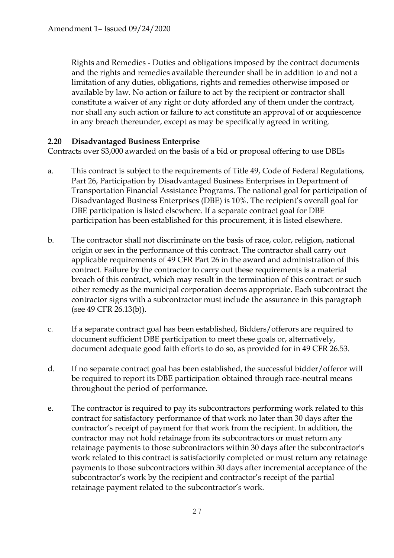Rights and Remedies - Duties and obligations imposed by the contract documents and the rights and remedies available thereunder shall be in addition to and not a limitation of any duties, obligations, rights and remedies otherwise imposed or available by law. No action or failure to act by the recipient or contractor shall constitute a waiver of any right or duty afforded any of them under the contract, nor shall any such action or failure to act constitute an approval of or acquiescence in any breach thereunder, except as may be specifically agreed in writing.

### **2.20 Disadvantaged Business Enterprise**

Contracts over \$3,000 awarded on the basis of a bid or proposal offering to use DBEs

- a. This contract is subject to the requirements of Title 49, Code of Federal Regulations, Part 26, Participation by Disadvantaged Business Enterprises in Department of Transportation Financial Assistance Programs. The national goal for participation of Disadvantaged Business Enterprises (DBE) is 10%. The recipient's overall goal for DBE participation is listed elsewhere. If a separate contract goal for DBE participation has been established for this procurement, it is listed elsewhere.
- b. The contractor shall not discriminate on the basis of race, color, religion, national origin or sex in the performance of this contract. The contractor shall carry out applicable requirements of 49 CFR Part 26 in the award and administration of this contract. Failure by the contractor to carry out these requirements is a material breach of this contract, which may result in the termination of this contract or such other remedy as the municipal corporation deems appropriate. Each subcontract the contractor signs with a subcontractor must include the assurance in this paragraph (see 49 CFR 26.13(b)).
- c. If a separate contract goal has been established, Bidders/offerors are required to document sufficient DBE participation to meet these goals or, alternatively, document adequate good faith efforts to do so, as provided for in 49 CFR 26.53.
- d. If no separate contract goal has been established, the successful bidder/offeror will be required to report its DBE participation obtained through race-neutral means throughout the period of performance.
- e. The contractor is required to pay its subcontractors performing work related to this contract for satisfactory performance of that work no later than 30 days after the contractor's receipt of payment for that work from the recipient. In addition, the contractor may not hold retainage from its subcontractors or must return any retainage payments to those subcontractors within 30 days after the subcontractor's work related to this contract is satisfactorily completed or must return any retainage payments to those subcontractors within 30 days after incremental acceptance of the subcontractor's work by the recipient and contractor's receipt of the partial retainage payment related to the subcontractor's work.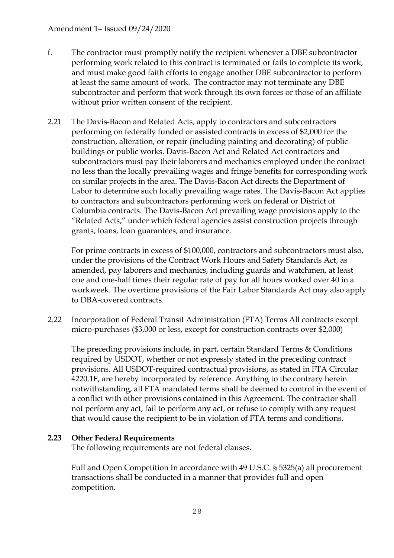### Amendment 1– Issued 09/24/2020

- f. The contractor must promptly notify the recipient whenever a DBE subcontractor performing work related to this contract is terminated or fails to complete its work, and must make good faith efforts to engage another DBE subcontractor to perform at least the same amount of work. The contractor may not terminate any DBE subcontractor and perform that work through its own forces or those of an affiliate without prior written consent of the recipient.
- 2.21 The Davis-Bacon and Related Acts, apply to contractors and subcontractors performing on federally funded or assisted contracts in excess of \$2,000 for the construction, alteration, or repair (including painting and decorating) of public buildings or public works. Davis-Bacon Act and Related Act contractors and subcontractors must pay their laborers and mechanics employed under the contract no less than the locally prevailing wages and fringe benefits for corresponding work on similar projects in the area. The Davis-Bacon Act directs the Department of Labor to determine such locally prevailing wage rates. The Davis-Bacon Act applies to contractors and subcontractors performing work on federal or District of Columbia contracts. The Davis-Bacon Act prevailing wage provisions apply to the "Related Acts," under which federal agencies assist construction projects through grants, loans, loan guarantees, and insurance.

For prime contracts in excess of \$100,000, contractors and subcontractors must also, under the provisions of the Contract Work Hours and Safety Standards Act, as amended, pay laborers and mechanics, including guards and watchmen, at least one and one-half times their regular rate of pay for all hours worked over 40 in a workweek. The overtime provisions of the Fair Labor Standards Act may also apply to DBA-covered contracts.

2.22 Incorporation of Federal Transit Administration (FTA) Terms All contracts except micro-purchases (\$3,000 or less, except for construction contracts over \$2,000)

The preceding provisions include, in part, certain Standard Terms & Conditions required by USDOT, whether or not expressly stated in the preceding contract provisions. All USDOT-required contractual provisions, as stated in FTA Circular 4220.1F, are hereby incorporated by reference. Anything to the contrary herein notwithstanding, all FTA mandated terms shall be deemed to control in the event of a conflict with other provisions contained in this Agreement. The contractor shall not perform any act, fail to perform any act, or refuse to comply with any request that would cause the recipient to be in violation of FTA terms and conditions.

### **2.23 Other Federal Requirements**

The following requirements are not federal clauses.

Full and Open Competition In accordance with 49 U.S.C. § 5325(a) all procurement transactions shall be conducted in a manner that provides full and open competition.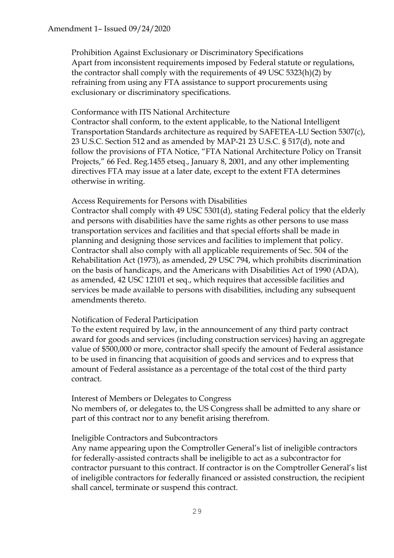Prohibition Against Exclusionary or Discriminatory Specifications Apart from inconsistent requirements imposed by Federal statute or regulations, the contractor shall comply with the requirements of 49 USC 5323(h)(2) by refraining from using any FTA assistance to support procurements using exclusionary or discriminatory specifications.

#### Conformance with ITS National Architecture

Contractor shall conform, to the extent applicable, to the National Intelligent Transportation Standards architecture as required by SAFETEA-LU Section 5307(c), 23 U.S.C. Section 512 and as amended by MAP-21 23 U.S.C. § 517(d), note and follow the provisions of FTA Notice, "FTA National Architecture Policy on Transit Projects," 66 Fed. Reg.1455 etseq., January 8, 2001, and any other implementing directives FTA may issue at a later date, except to the extent FTA determines otherwise in writing.

#### Access Requirements for Persons with Disabilities

Contractor shall comply with 49 USC 5301(d), stating Federal policy that the elderly and persons with disabilities have the same rights as other persons to use mass transportation services and facilities and that special efforts shall be made in planning and designing those services and facilities to implement that policy. Contractor shall also comply with all applicable requirements of Sec. 504 of the Rehabilitation Act (1973), as amended, 29 USC 794, which prohibits discrimination on the basis of handicaps, and the Americans with Disabilities Act of 1990 (ADA), as amended, 42 USC 12101 et seq., which requires that accessible facilities and services be made available to persons with disabilities, including any subsequent amendments thereto.

#### Notification of Federal Participation

To the extent required by law, in the announcement of any third party contract award for goods and services (including construction services) having an aggregate value of \$500,000 or more, contractor shall specify the amount of Federal assistance to be used in financing that acquisition of goods and services and to express that amount of Federal assistance as a percentage of the total cost of the third party contract.

#### Interest of Members or Delegates to Congress

No members of, or delegates to, the US Congress shall be admitted to any share or part of this contract nor to any benefit arising therefrom.

#### Ineligible Contractors and Subcontractors

Any name appearing upon the Comptroller General's list of ineligible contractors for federally-assisted contracts shall be ineligible to act as a subcontractor for contractor pursuant to this contract. If contractor is on the Comptroller General's list of ineligible contractors for federally financed or assisted construction, the recipient shall cancel, terminate or suspend this contract.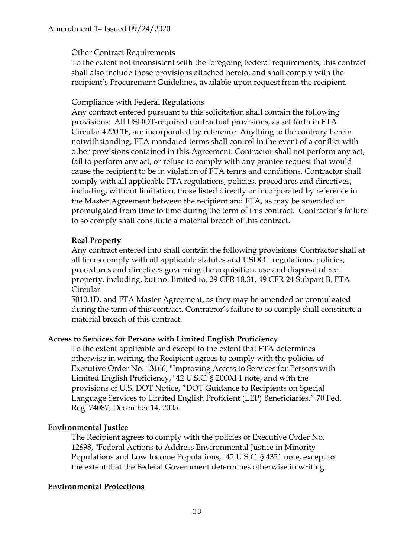### Other Contract Requirements

To the extent not inconsistent with the foregoing Federal requirements, this contract shall also include those provisions attached hereto, and shall comply with the recipient's Procurement Guidelines, available upon request from the recipient.

### Compliance with Federal Regulations

Any contract entered pursuant to this solicitation shall contain the following provisions: All USDOT-required contractual provisions, as set forth in FTA Circular 4220.1F, are incorporated by reference. Anything to the contrary herein notwithstanding, FTA mandated terms shall control in the event of a conflict with other provisions contained in this Agreement. Contractor shall not perform any act, fail to perform any act, or refuse to comply with any grantee request that would cause the recipient to be in violation of FTA terms and conditions. Contractor shall comply with all applicable FTA regulations, policies, procedures and directives, including, without limitation, those listed directly or incorporated by reference in the Master Agreement between the recipient and FTA, as may be amended or promulgated from time to time during the term of this contract. Contractor's failure to so comply shall constitute a material breach of this contract.

### **Real Property**

Any contract entered into shall contain the following provisions: Contractor shall at all times comply with all applicable statutes and USDOT regulations, policies, procedures and directives governing the acquisition, use and disposal of real property, including, but not limited to, 29 CFR 18.31, 49 CFR 24 Subpart B, FTA Circular

5010.1D, and FTA Master Agreement, as they may be amended or promulgated during the term of this contract. Contractor's failure to so comply shall constitute a material breach of this contract.

### **Access to Services for Persons with Limited English Proficiency**

To the extent applicable and except to the extent that FTA determines otherwise in writing, the Recipient agrees to comply with the policies of Executive Order No. 13166, "Improving Access to Services for Persons with Limited English Proficiency," 42 U.S.C. § 2000d 1 note, and with the provisions of U.S. DOT Notice, "DOT Guidance to Recipients on Special Language Services to Limited English Proficient (LEP) Beneficiaries," 70 Fed. Reg. 74087, December 14, 2005.

### **Environmental Justice**

The Recipient agrees to comply with the policies of Executive Order No. 12898, "Federal Actions to Address Environmental Justice in Minority Populations and Low Income Populations," 42 U.S.C. § 4321 note, except to the extent that the Federal Government determines otherwise in writing.

### **Environmental Protections**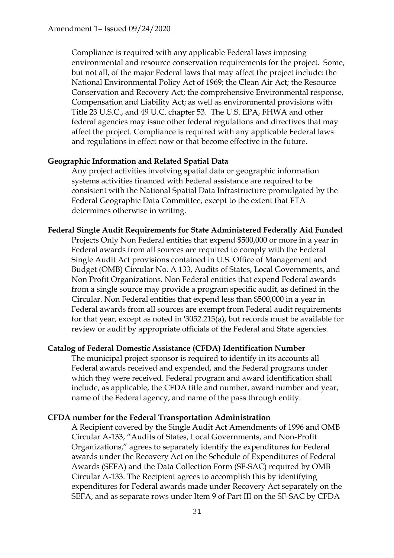Compliance is required with any applicable Federal laws imposing environmental and resource conservation requirements for the project. Some, but not all, of the major Federal laws that may affect the project include: the National Environmental Policy Act of 1969; the Clean Air Act; the Resource Conservation and Recovery Act; the comprehensive Environmental response, Compensation and Liability Act; as well as environmental provisions with Title 23 U.S.C., and 49 U.C. chapter 53. The U.S. EPA, FHWA and other federal agencies may issue other federal regulations and directives that may affect the project. Compliance is required with any applicable Federal laws and regulations in effect now or that become effective in the future.

#### **Geographic Information and Related Spatial Data**

Any project activities involving spatial data or geographic information systems activities financed with Federal assistance are required to be consistent with the National Spatial Data Infrastructure promulgated by the Federal Geographic Data Committee, except to the extent that FTA determines otherwise in writing.

#### **Federal Single Audit Requirements for State Administered Federally Aid Funded**

Projects Only Non Federal entities that expend \$500,000 or more in a year in Federal awards from all sources are required to comply with the Federal Single Audit Act provisions contained in U.S. Office of Management and Budget (OMB) Circular No. A 133, Audits of States, Local Governments, and Non Profit Organizations. Non Federal entities that expend Federal awards from a single source may provide a program specific audit, as defined in the Circular. Non Federal entities that expend less than \$500,000 in a year in Federal awards from all sources are exempt from Federal audit requirements for that year, except as noted in '3052.215(a), but records must be available for review or audit by appropriate officials of the Federal and State agencies.

#### **Catalog of Federal Domestic Assistance (CFDA) Identification Number**

The municipal project sponsor is required to identify in its accounts all Federal awards received and expended, and the Federal programs under which they were received. Federal program and award identification shall include, as applicable, the CFDA title and number, award number and year, name of the Federal agency, and name of the pass through entity.

#### **CFDA number for the Federal Transportation Administration**

A Recipient covered by the Single Audit Act Amendments of 1996 and OMB Circular A-133, "Audits of States, Local Governments, and Non-Profit Organizations," agrees to separately identify the expenditures for Federal awards under the Recovery Act on the Schedule of Expenditures of Federal Awards (SEFA) and the Data Collection Form (SF-SAC) required by OMB Circular A-133. The Recipient agrees to accomplish this by identifying expenditures for Federal awards made under Recovery Act separately on the SEFA, and as separate rows under Item 9 of Part III on the SF-SAC by CFDA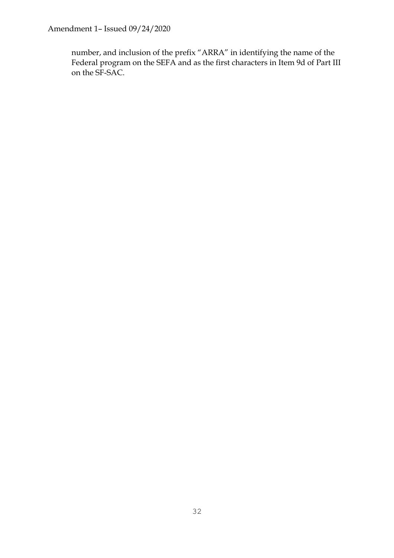Amendment 1– Issued 09/24/2020

number, and inclusion of the prefix "ARRA" in identifying the name of the Federal program on the SEFA and as the first characters in Item 9d of Part III on the SF-SAC.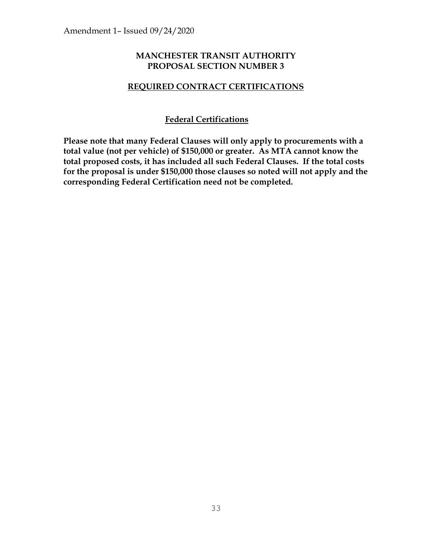### **MANCHESTER TRANSIT AUTHORITY PROPOSAL SECTION NUMBER 3**

### **REQUIRED CONTRACT CERTIFICATIONS**

### **Federal Certifications**

**Please note that many Federal Clauses will only apply to procurements with a total value (not per vehicle) of \$150,000 or greater. As MTA cannot know the total proposed costs, it has included all such Federal Clauses. If the total costs for the proposal is under \$150,000 those clauses so noted will not apply and the corresponding Federal Certification need not be completed.**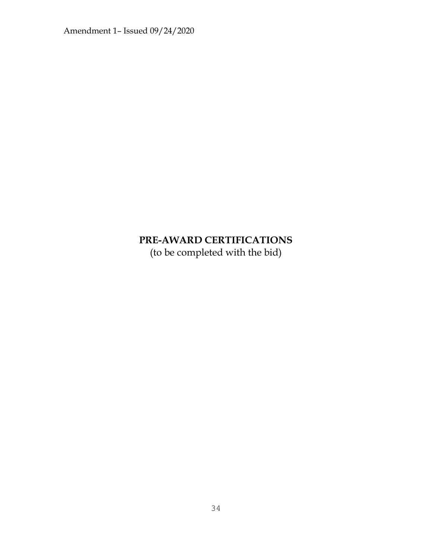Amendment 1– Issued 09/24/2020

# **PRE-AWARD CERTIFICATIONS**

(to be completed with the bid)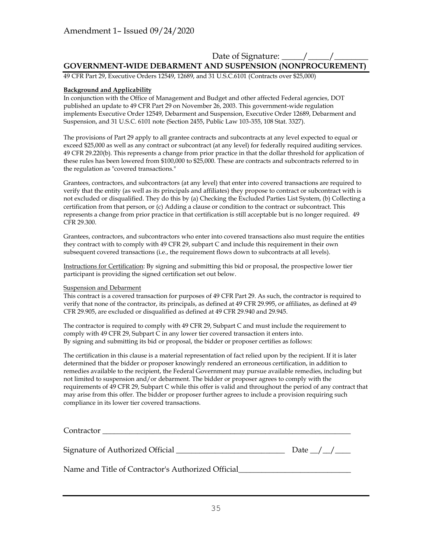### Date of Signature: <u>\_\_\_\_\_</u> /\_\_\_\_ **GOVERNMENT-WIDE DEBARMENT AND SUSPENSION (NONPROCUREMENT)**

49 CFR Part 29, Executive Orders 12549, 12689, and 31 U.S.C.6101 (Contracts over \$25,000)

#### **Background and Applicability**

In conjunction with the Office of Management and Budget and other affected Federal agencies, DOT published an update to 49 CFR Part 29 on November 26, 2003. This government-wide regulation implements Executive Order 12549, Debarment and Suspension, Executive Order 12689, Debarment and Suspension, and 31 U.S.C. 6101 note (Section 2455, Public Law 103-355, 108 Stat. 3327).

The provisions of Part 29 apply to all grantee contracts and subcontracts at any level expected to equal or exceed \$25,000 as well as any contract or subcontract (at any level) for federally required auditing services. 49 CFR 29.220(b). This represents a change from prior practice in that the dollar threshold for application of these rules has been lowered from \$100,000 to \$25,000. These are contracts and subcontracts referred to in the regulation as "covered transactions."

Grantees, contractors, and subcontractors (at any level) that enter into covered transactions are required to verify that the entity (as well as its principals and affiliates) they propose to contract or subcontract with is not excluded or disqualified. They do this by (a) Checking the Excluded Parties List System, (b) Collecting a certification from that person, or (c) Adding a clause or condition to the contract or subcontract. This represents a change from prior practice in that certification is still acceptable but is no longer required. 49 CFR 29.300.

Grantees, contractors, and subcontractors who enter into covered transactions also must require the entities they contract with to comply with 49 CFR 29, subpart C and include this requirement in their own subsequent covered transactions (i.e., the requirement flows down to subcontracts at all levels).

Instructions for Certification: By signing and submitting this bid or proposal, the prospective lower tier participant is providing the signed certification set out below.

#### Suspension and Debarment

This contract is a covered transaction for purposes of 49 CFR Part 29. As such, the contractor is required to verify that none of the contractor, its principals, as defined at 49 CFR 29.995, or affiliates, as defined at 49 CFR 29.905, are excluded or disqualified as defined at 49 CFR 29.940 and 29.945.

The contractor is required to comply with 49 CFR 29, Subpart C and must include the requirement to comply with 49 CFR 29, Subpart C in any lower tier covered transaction it enters into. By signing and submitting its bid or proposal, the bidder or proposer certifies as follows:

The certification in this clause is a material representation of fact relied upon by the recipient. If it is later determined that the bidder or proposer knowingly rendered an erroneous certification, in addition to remedies available to the recipient, the Federal Government may pursue available remedies, including but not limited to suspension and/or debarment. The bidder or proposer agrees to comply with the requirements of 49 CFR 29, Subpart C while this offer is valid and throughout the period of any contract that may arise from this offer. The bidder or proposer further agrees to include a provision requiring such compliance in its lower tier covered transactions.

| Cauchy <sub>2</sub><br>Contractor |  |  |  |
|-----------------------------------|--|--|--|
|                                   |  |  |  |

Signature of Authorized Official  $\Box$ 

Name and Title of Contractor's Authorized Official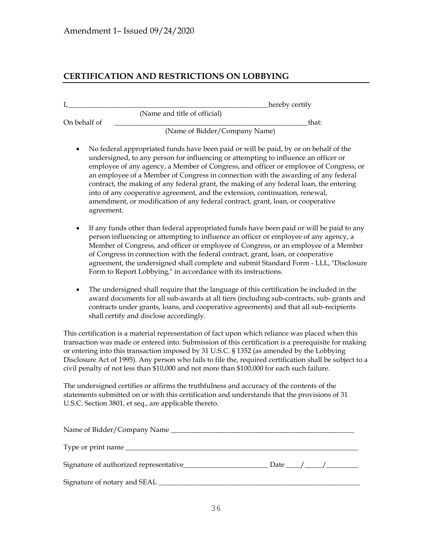### **CERTIFICATION AND RESTRICTIONS ON LOBBYING**

|              | hereby certify                                                                                                                                                                                                                                                                                                                                                                                                                                                                                                                                                                                                                         |
|--------------|----------------------------------------------------------------------------------------------------------------------------------------------------------------------------------------------------------------------------------------------------------------------------------------------------------------------------------------------------------------------------------------------------------------------------------------------------------------------------------------------------------------------------------------------------------------------------------------------------------------------------------------|
|              | (Name and title of official)                                                                                                                                                                                                                                                                                                                                                                                                                                                                                                                                                                                                           |
| On behalf of | that:                                                                                                                                                                                                                                                                                                                                                                                                                                                                                                                                                                                                                                  |
|              | (Name of Bidder/Company Name)                                                                                                                                                                                                                                                                                                                                                                                                                                                                                                                                                                                                          |
|              | No federal appropriated funds have been paid or will be paid, by or on behalf of the<br>undersigned, to any person for influencing or attempting to influence an officer or<br>employee of any agency, a Member of Congress, and officer or employee of Congress, or<br>an employee of a Member of Congress in connection with the awarding of any federal<br>contract, the making of any federal grant, the making of any federal loan, the entering<br>into of any cooperative agreement, and the extension, continuation, renewal,<br>amendment, or modification of any federal contract, grant, loan, or cooperative<br>agreement. |
|              | If any funds other than federal appropriated funds have been paid or will be paid to any<br>person influencing or attempting to influence an officer or employee of any agency, a<br>Member of Congress, and officer or employee of Congress, or an employee of a Member<br>of Congress in connection with the federal contract, grant, loan, or cooperative<br>agreement, the undersigned shall complete and submit Standard Form - LLL, "Disclosure<br>Form to Report Lobbying," in accordance with its instructions.                                                                                                                |
|              | The undersigned shall require that the language of this certification be included in the<br>award documents for all sub-awards at all tiers (including sub-contracts, sub- grants and<br>contracts under grants, loans, and cooperative agreements) and that all sub-recipients<br>shall certify and disclose accordingly.                                                                                                                                                                                                                                                                                                             |
|              | This certification is a material representation of fact upon which reliance was placed when this<br>transaction was made or entered into. Submission of this certification is a prerequisite for making<br>or entering into this transaction imposed by 31 U.S.C. § 1352 (as amended by the Lobbying<br>Disclosure Act of 1995). Any person who fails to file the, required certification shall be subject to a<br>civil penalty of not less than \$10,000 and not more than \$100,000 for each such failure.                                                                                                                          |
|              | The undersigned certifies or affirms the truthfulness and accuracy of the contents of the<br>statements submitted on or with this certification and understands that the provisions of 31<br>U.S.C. Section 3801, et seq., are applicable thereto.                                                                                                                                                                                                                                                                                                                                                                                     |
|              | Name of Bidder/Company Name                                                                                                                                                                                                                                                                                                                                                                                                                                                                                                                                                                                                            |

| Type or print name                      |      |  |
|-----------------------------------------|------|--|
|                                         |      |  |
| Signature of authorized representative_ | Date |  |
|                                         |      |  |
| Signature of notary and SEAL            |      |  |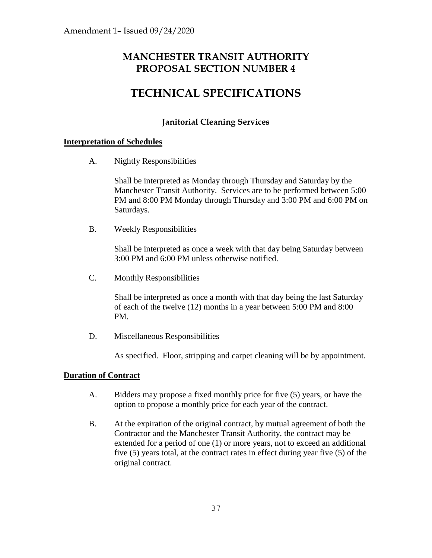# **MANCHESTER TRANSIT AUTHORITY PROPOSAL SECTION NUMBER 4**

# **TECHNICAL SPECIFICATIONS**

## **Janitorial Cleaning Services**

### **Interpretation of Schedules**

A. Nightly Responsibilities

Shall be interpreted as Monday through Thursday and Saturday by the Manchester Transit Authority. Services are to be performed between 5:00 PM and 8:00 PM Monday through Thursday and 3:00 PM and 6:00 PM on Saturdays.

B. Weekly Responsibilities

Shall be interpreted as once a week with that day being Saturday between 3:00 PM and 6:00 PM unless otherwise notified.

C. Monthly Responsibilities

Shall be interpreted as once a month with that day being the last Saturday of each of the twelve (12) months in a year between 5:00 PM and 8:00 PM.

D. Miscellaneous Responsibilities

As specified. Floor, stripping and carpet cleaning will be by appointment.

### **Duration of Contract**

- A. Bidders may propose a fixed monthly price for five (5) years, or have the option to propose a monthly price for each year of the contract.
- B. At the expiration of the original contract, by mutual agreement of both the Contractor and the Manchester Transit Authority, the contract may be extended for a period of one (1) or more years, not to exceed an additional five (5) years total, at the contract rates in effect during year five (5) of the original contract.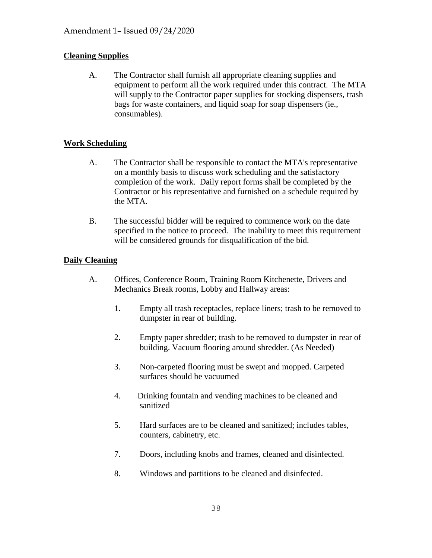### **Cleaning Supplies**

A. The Contractor shall furnish all appropriate cleaning supplies and equipment to perform all the work required under this contract. The MTA will supply to the Contractor paper supplies for stocking dispensers, trash bags for waste containers, and liquid soap for soap dispensers (ie., consumables).

### **Work Scheduling**

- A. The Contractor shall be responsible to contact the MTA's representative on a monthly basis to discuss work scheduling and the satisfactory completion of the work. Daily report forms shall be completed by the Contractor or his representative and furnished on a schedule required by the MTA.
- B. The successful bidder will be required to commence work on the date specified in the notice to proceed. The inability to meet this requirement will be considered grounds for disqualification of the bid.

### **Daily Cleaning**

- A. Offices, Conference Room, Training Room Kitchenette, Drivers and Mechanics Break rooms, Lobby and Hallway areas:
	- 1. Empty all trash receptacles, replace liners; trash to be removed to dumpster in rear of building.
	- 2. Empty paper shredder; trash to be removed to dumpster in rear of building. Vacuum flooring around shredder. (As Needed)
	- 3. Non-carpeted flooring must be swept and mopped. Carpeted surfaces should be vacuumed
	- 4. Drinking fountain and vending machines to be cleaned and sanitized
	- 5. Hard surfaces are to be cleaned and sanitized; includes tables, counters, cabinetry, etc.
	- 7. Doors, including knobs and frames, cleaned and disinfected.
	- 8. Windows and partitions to be cleaned and disinfected.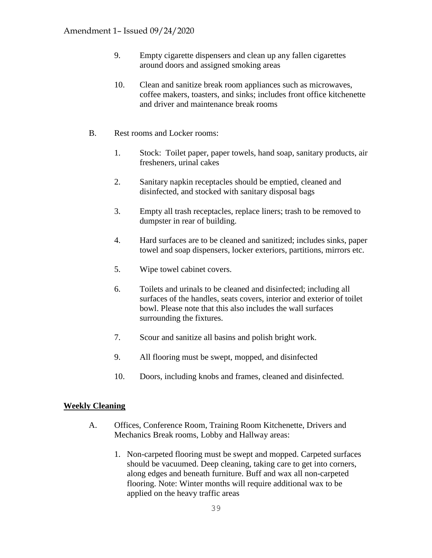- 9. Empty cigarette dispensers and clean up any fallen cigarettes around doors and assigned smoking areas
- 10. Clean and sanitize break room appliances such as microwaves, coffee makers, toasters, and sinks; includes front office kitchenette and driver and maintenance break rooms
- B. Rest rooms and Locker rooms:
	- 1. Stock: Toilet paper, paper towels, hand soap, sanitary products, air fresheners, urinal cakes
	- 2. Sanitary napkin receptacles should be emptied, cleaned and disinfected, and stocked with sanitary disposal bags
	- 3. Empty all trash receptacles, replace liners; trash to be removed to dumpster in rear of building.
	- 4. Hard surfaces are to be cleaned and sanitized; includes sinks, paper towel and soap dispensers, locker exteriors, partitions, mirrors etc.
	- 5. Wipe towel cabinet covers.
	- 6. Toilets and urinals to be cleaned and disinfected; including all surfaces of the handles, seats covers, interior and exterior of toilet bowl. Please note that this also includes the wall surfaces surrounding the fixtures.
	- 7. Scour and sanitize all basins and polish bright work.
	- 9. All flooring must be swept, mopped, and disinfected
	- 10. Doors, including knobs and frames, cleaned and disinfected.

#### **Weekly Cleaning**

- A. Offices, Conference Room, Training Room Kitchenette, Drivers and Mechanics Break rooms, Lobby and Hallway areas:
	- 1. Non-carpeted flooring must be swept and mopped. Carpeted surfaces should be vacuumed. Deep cleaning, taking care to get into corners, along edges and beneath furniture. Buff and wax all non-carpeted flooring. Note: Winter months will require additional wax to be applied on the heavy traffic areas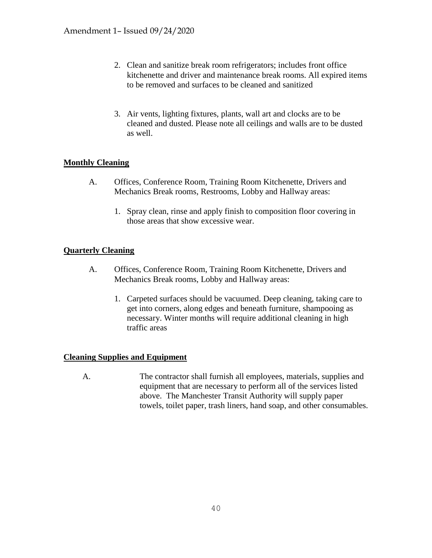- 2. Clean and sanitize break room refrigerators; includes front office kitchenette and driver and maintenance break rooms. All expired items to be removed and surfaces to be cleaned and sanitized
- 3. Air vents, lighting fixtures, plants, wall art and clocks are to be cleaned and dusted. Please note all ceilings and walls are to be dusted as well.

### **Monthly Cleaning**

- A. Offices, Conference Room, Training Room Kitchenette, Drivers and Mechanics Break rooms, Restrooms, Lobby and Hallway areas:
	- 1. Spray clean, rinse and apply finish to composition floor covering in those areas that show excessive wear.

#### **Quarterly Cleaning**

- A. Offices, Conference Room, Training Room Kitchenette, Drivers and Mechanics Break rooms, Lobby and Hallway areas:
	- 1. Carpeted surfaces should be vacuumed. Deep cleaning, taking care to get into corners, along edges and beneath furniture, shampooing as necessary. Winter months will require additional cleaning in high traffic areas

### **Cleaning Supplies and Equipment**

 A. The contractor shall furnish all employees, materials, supplies and equipment that are necessary to perform all of the services listed above. The Manchester Transit Authority will supply paper towels, toilet paper, trash liners, hand soap, and other consumables.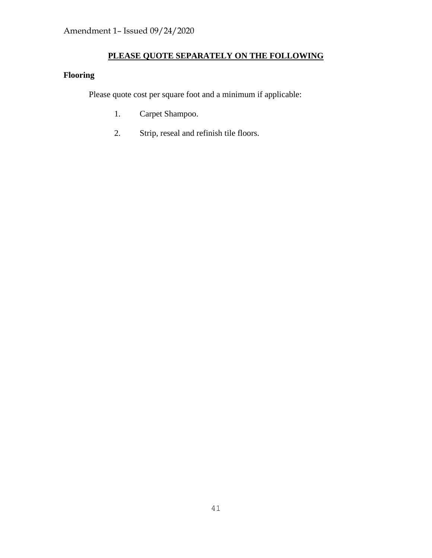## **PLEASE QUOTE SEPARATELY ON THE FOLLOWING**

# **Flooring**

Please quote cost per square foot and a minimum if applicable:

- 1. Carpet Shampoo.
- 2. Strip, reseal and refinish tile floors.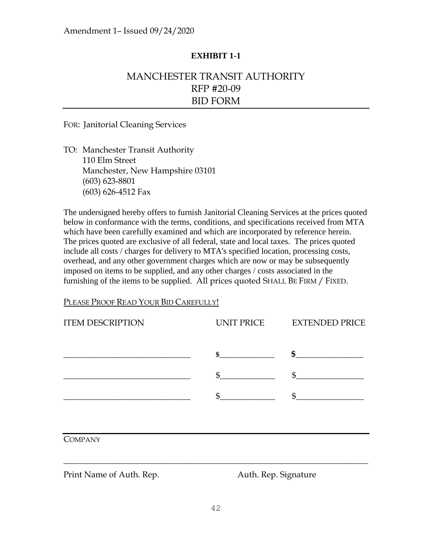### **EXHIBIT 1-1**

# MANCHESTER TRANSIT AUTHORITY RFP #20-09 BID FORM

FOR: Janitorial Cleaning Services

TO: Manchester Transit Authority 110 Elm Street Manchester, New Hampshire 03101 (603) 623-8801 (603) 626-4512 Fax

The undersigned hereby offers to furnish Janitorial Cleaning Services at the prices quoted below in conformance with the terms, conditions, and specifications received from MTA which have been carefully examined and which are incorporated by reference herein. The prices quoted are exclusive of all federal, state and local taxes. The prices quoted include all costs / charges for delivery to MTA's specified location, processing costs, overhead, and any other government charges which are now or may be subsequently imposed on items to be supplied, and any other charges / costs associated in the furnishing of the items to be supplied. All prices quoted SHALL BE FIRM / FIXED.

#### PLEASE PROOF READ YOUR BID CAREFULLY!

| <b>ITEM DESCRIPTION</b>  | UNIT PRICE           | <b>EXTENDED PRICE</b> |
|--------------------------|----------------------|-----------------------|
|                          | $\sim$               | $\sim$                |
|                          | $\mathfrak{S}$       | $\frac{1}{2}$         |
|                          | \$                   | \$                    |
|                          |                      |                       |
| <b>COMPANY</b>           |                      |                       |
| Print Name of Auth. Rep. | Auth. Rep. Signature |                       |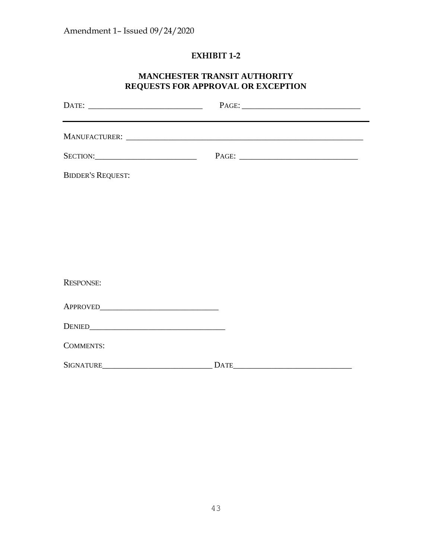# **EXHIBIT 1-2**

### **MANCHESTER TRANSIT AUTHORITY REQUESTS FOR APPROVAL OR EXCEPTION**

| <b>BIDDER'S REQUEST:</b> |  |
|--------------------------|--|
|                          |  |
|                          |  |
|                          |  |
|                          |  |
| <b>RESPONSE:</b>         |  |
|                          |  |
|                          |  |
| <b>COMMENTS:</b>         |  |
|                          |  |